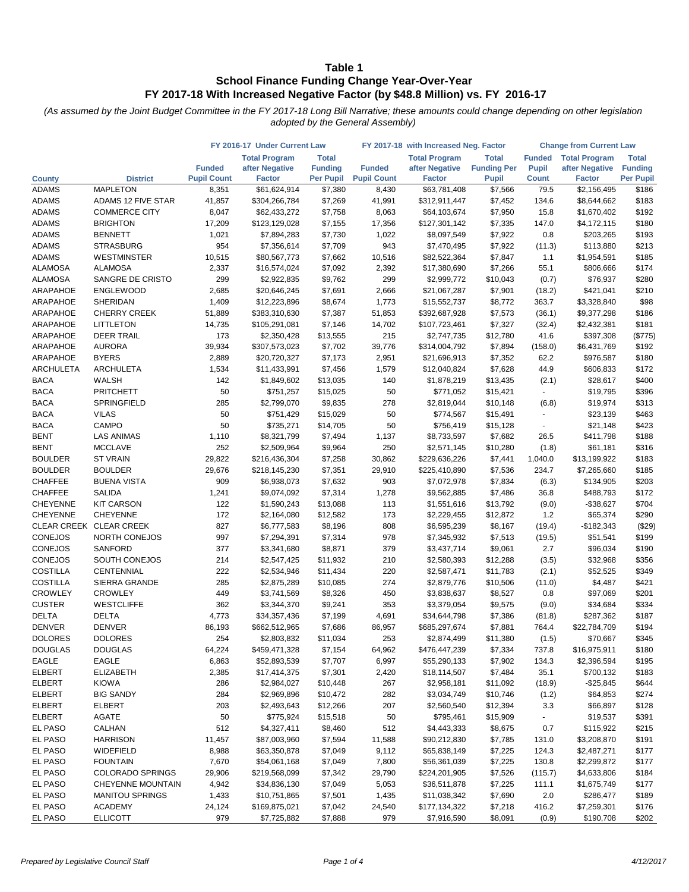|                              |                                    | FY 2016-17 Under Current Law |                               |                      | FY 2017-18 with Increased Neg. Factor | <b>Change from Current Law</b> |                         |                          |                            |                  |
|------------------------------|------------------------------------|------------------------------|-------------------------------|----------------------|---------------------------------------|--------------------------------|-------------------------|--------------------------|----------------------------|------------------|
|                              |                                    |                              | <b>Total Program</b>          | <b>Total</b>         |                                       | <b>Total Program</b>           | <b>Total</b>            | <b>Funded</b>            | <b>Total Program</b>       | <b>Total</b>     |
|                              |                                    | <b>Funded</b>                | after Negative                | <b>Funding</b>       | <b>Funded</b>                         | after Negative                 | <b>Funding Per</b>      | <b>Pupil</b>             | after Negative             | <b>Funding</b>   |
| <b>County</b>                | <b>District</b><br><b>MAPLETON</b> | <b>Pupil Count</b>           | <b>Factor</b>                 | <b>Per Pupil</b>     | <b>Pupil Count</b>                    | <b>Factor</b>                  | <b>Pupil</b><br>\$7,566 | <b>Count</b><br>79.5     | <b>Factor</b>              | <b>Per Pupil</b> |
| <b>ADAMS</b><br><b>ADAMS</b> | ADAMS 12 FIVE STAR                 | 8,351<br>41,857              | \$61,624,914<br>\$304,266,784 | \$7,380<br>\$7,269   | 8,430<br>41,991                       | \$63,781,408<br>\$312,911,447  | \$7,452                 | 134.6                    | \$2,156,495<br>\$8,644,662 | \$186<br>\$183   |
| <b>ADAMS</b>                 | <b>COMMERCE CITY</b>               | 8,047                        | \$62,433,272                  | \$7,758              | 8,063                                 | \$64,103,674                   | \$7,950                 | 15.8                     | \$1,670,402                | \$192            |
| <b>ADAMS</b>                 | <b>BRIGHTON</b>                    | 17,209                       | \$123,129,028                 | \$7,155              | 17,356                                | \$127,301,142                  | \$7,335                 | 147.0                    | \$4,172,115                | \$180            |
| <b>ADAMS</b>                 | <b>BENNETT</b>                     | 1,021                        | \$7,894,283                   | \$7,730              | 1,022                                 | \$8,097,549                    | \$7,922                 | 0.8                      | \$203,265                  | \$193            |
| <b>ADAMS</b>                 | <b>STRASBURG</b>                   | 954                          | \$7,356,614                   | \$7,709              | 943                                   | \$7,470,495                    | \$7,922                 | (11.3)                   | \$113,880                  | \$213            |
| <b>ADAMS</b>                 | <b>WESTMINSTER</b>                 | 10,515                       | \$80,567,773                  | \$7,662              | 10,516                                | \$82,522,364                   | \$7,847                 | 1.1                      | \$1,954,591                | \$185            |
| <b>ALAMOSA</b>               | <b>ALAMOSA</b>                     | 2,337                        | \$16,574,024                  | \$7,092              | 2,392                                 | \$17,380,690                   | \$7,266                 | 55.1                     | \$806,666                  | \$174            |
| <b>ALAMOSA</b>               | SANGRE DE CRISTO                   | 299                          | \$2,922,835                   | \$9,762              | 299                                   | \$2,999,772                    | \$10,043                | (0.7)                    | \$76,937                   | \$280            |
| ARAPAHOE                     | <b>ENGLEWOOD</b>                   | 2,685                        | \$20,646,245                  | \$7,691              | 2,666                                 | \$21,067,287                   | \$7,901                 | (18.2)                   | \$421,041                  | \$210            |
| ARAPAHOE                     | SHERIDAN                           | 1,409                        | \$12,223,896                  | \$8,674              | 1,773                                 | \$15,552,737                   | \$8,772                 | 363.7                    | \$3,328,840                | \$98             |
| ARAPAHOE                     | <b>CHERRY CREEK</b>                | 51,889                       | \$383,310,630                 | \$7,387              | 51,853                                | \$392,687,928                  | \$7,573                 | (36.1)                   | \$9,377,298                | \$186            |
| ARAPAHOE                     | <b>LITTLETON</b>                   | 14,735                       | \$105,291,081                 | \$7,146              | 14,702                                | \$107,723,461                  | \$7,327                 | (32.4)                   | \$2,432,381                | \$181            |
| ARAPAHOE                     | <b>DEER TRAIL</b>                  | 173                          | \$2,350,428                   | \$13,555             | 215                                   | \$2,747,735                    | \$12,780                | 41.6                     | \$397,308                  | (\$775)          |
| ARAPAHOE                     | <b>AURORA</b>                      | 39,934                       | \$307,573,023                 | \$7,702              | 39,776                                | \$314,004,792                  | \$7,894                 | (158.0)                  | \$6,431,769                | \$192            |
| <b>ARAPAHOE</b>              | <b>BYERS</b>                       | 2,889                        | \$20,720,327                  | \$7,173              | 2,951                                 | \$21,696,913                   | \$7,352                 | 62.2                     | \$976,587                  | \$180            |
| <b>ARCHULETA</b>             | <b>ARCHULETA</b>                   | 1,534                        | \$11,433,991                  | \$7,456              | 1,579                                 | \$12,040,824                   | \$7,628                 | 44.9                     | \$606,833                  | \$172            |
| <b>BACA</b>                  | <b>WALSH</b>                       | 142                          | \$1,849,602                   | \$13,035             | 140                                   | \$1,878,219                    | \$13,435                | (2.1)                    | \$28,617                   | \$400            |
| <b>BACA</b>                  | <b>PRITCHETT</b>                   | 50                           | \$751,257                     | \$15,025             | 50                                    | \$771,052                      | \$15,421                | $\blacksquare$           | \$19,795                   | \$396            |
| <b>BACA</b>                  | SPRINGFIELD                        | 285                          | \$2,799,070                   | \$9,835              | 278                                   | \$2,819,044                    | \$10,148                | (6.8)                    | \$19,974                   | \$313            |
| <b>BACA</b>                  | <b>VILAS</b>                       | 50                           | \$751,429                     | \$15,029             | 50                                    | \$774,567                      | \$15,491                |                          | \$23,139                   | \$463            |
| <b>BACA</b>                  | CAMPO                              | 50                           | \$735,271                     | \$14,705             | 50                                    | \$756,419                      | \$15,128                | $\overline{\phantom{a}}$ | \$21,148                   | \$423            |
| <b>BENT</b>                  | <b>LAS ANIMAS</b>                  | 1,110                        | \$8,321,799                   | \$7,494              | 1,137                                 | \$8,733,597                    | \$7,682                 | 26.5                     | \$411,798                  | \$188            |
| <b>BENT</b>                  | <b>MCCLAVE</b>                     | 252                          | \$2,509,964                   | \$9,964              | 250                                   | \$2,571,145                    | \$10,280                | (1.8)                    | \$61,181                   | \$316            |
| <b>BOULDER</b>               | <b>ST VRAIN</b>                    | 29,822                       | \$216,436,304                 | \$7,258              | 30,862                                | \$229,636,226                  | \$7,441                 | 1,040.0                  | \$13,199,922               | \$183            |
| <b>BOULDER</b>               | <b>BOULDER</b>                     | 29,676                       | \$218,145,230                 | \$7,351              | 29,910                                | \$225,410,890                  | \$7,536                 | 234.7                    | \$7,265,660                | \$185            |
| <b>CHAFFEE</b>               | <b>BUENA VISTA</b>                 | 909                          | \$6,938,073                   | \$7,632              | 903                                   | \$7,072,978                    | \$7,834                 | (6.3)                    | \$134,905                  | \$203            |
| <b>CHAFFEE</b>               | <b>SALIDA</b>                      | 1,241                        | \$9,074,092                   | \$7,314              | 1,278                                 | \$9,562,885                    | \$7,486                 | 36.8                     | \$488,793                  | \$172            |
| <b>CHEYENNE</b>              | <b>KIT CARSON</b>                  | 122                          | \$1,590,243                   | \$13,088             | 113                                   | \$1,551,616                    | \$13,792                | (9.0)                    | $-$ \$38,627               | \$704            |
| <b>CHEYENNE</b>              | <b>CHEYENNE</b>                    | 172                          | \$2,164,080                   | \$12,582             | 173                                   | \$2,229,455                    | \$12,872                | 1.2                      | \$65,374                   | \$290            |
|                              | CLEAR CREEK CLEAR CREEK            | 827                          | \$6,777,583                   | \$8,196              | 808                                   | \$6,595,239                    | \$8,167                 | (19.4)                   | $-$182,343$                | (\$29)           |
| CONEJOS                      | NORTH CONEJOS                      | 997                          | \$7,294,391                   | \$7,314              | 978                                   | \$7,345,932                    | \$7,513                 | (19.5)                   | \$51,541                   | \$199            |
| <b>CONEJOS</b>               | <b>SANFORD</b>                     | 377                          | \$3,341,680                   | \$8,871              | 379                                   | \$3,437,714                    | \$9,061                 | 2.7                      | \$96,034                   | \$190            |
| CONEJOS<br><b>COSTILLA</b>   | SOUTH CONEJOS<br>CENTENNIAL        | 214<br>222                   | \$2,547,425                   | \$11,932             | 210<br>220                            | \$2,580,393                    | \$12,288                | (3.5)                    | \$32,968                   | \$356<br>\$349   |
| <b>COSTILLA</b>              | SIERRA GRANDE                      | 285                          | \$2,534,946<br>\$2,875,289    | \$11,434<br>\$10,085 | 274                                   | \$2,587,471                    | \$11,783                | (2.1)                    | \$52,525                   | \$421            |
| <b>CROWLEY</b>               | <b>CROWLEY</b>                     | 449                          | \$3,741,569                   | \$8,326              | 450                                   | \$2,879,776<br>\$3,838,637     | \$10,506<br>\$8,527     | (11.0)<br>0.8            | \$4,487<br>\$97,069        | \$201            |
| <b>CUSTER</b>                | <b>WESTCLIFFE</b>                  | 362                          | \$3,344,370                   | \$9,241              | 353                                   | \$3,379,054                    | \$9,575                 | (9.0)                    | \$34,684                   | \$334            |
| <b>DELTA</b>                 | DELTA                              | 4,773                        | \$34,357,436                  | \$7,199              | 4,691                                 | \$34,644,798                   | \$7,386                 | (81.8)                   | \$287,362                  | \$187            |
| <b>DENVER</b>                | <b>DENVER</b>                      | 86,193                       | \$662,512,965                 | \$7,686              | 86,957                                | \$685,297,674                  | \$7,881                 | 764.4                    | \$22,784,709               | \$194            |
| <b>DOLORES</b>               | <b>DOLORES</b>                     | 254                          | \$2,803,832                   | \$11,034             | 253                                   | \$2,874,499                    | \$11.380                | (1.5)                    | \$70,667                   | \$345            |
| <b>DOUGLAS</b>               | <b>DOUGLAS</b>                     | 64,224                       | \$459,471,328                 | \$7,154              | 64,962                                | \$476,447,239                  | \$7,334                 | 737.8                    | \$16,975,911               | \$180            |
| <b>EAGLE</b>                 | <b>EAGLE</b>                       | 6,863                        | \$52,893,539                  | \$7,707              | 6,997                                 | \$55,290,133                   | \$7,902                 | 134.3                    | \$2,396,594                | \$195            |
| <b>ELBERT</b>                | <b>ELIZABETH</b>                   | 2,385                        | \$17,414,375                  | \$7,301              | 2,420                                 | \$18,114,507                   | \$7,484                 | 35.1                     | \$700,132                  | \$183            |
| <b>ELBERT</b>                | <b>KIOWA</b>                       | 286                          | \$2,984,027                   | \$10,448             | 267                                   | \$2,958,181                    | \$11,092                | (18.9)                   | $-$25,845$                 | \$644            |
| <b>ELBERT</b>                | <b>BIG SANDY</b>                   | 284                          | \$2,969,896                   | \$10,472             | 282                                   | \$3,034,749                    | \$10,746                | (1.2)                    | \$64,853                   | \$274            |
| <b>ELBERT</b>                | <b>ELBERT</b>                      | 203                          | \$2,493,643                   | \$12,266             | 207                                   | \$2,560,540                    | \$12,394                | 3.3                      | \$66,897                   | \$128            |
| <b>ELBERT</b>                | <b>AGATE</b>                       | 50                           | \$775,924                     | \$15,518             | 50                                    | \$795,461                      | \$15,909                | $\blacksquare$           | \$19,537                   | \$391            |
| EL PASO                      | CALHAN                             | 512                          | \$4,327,411                   | \$8,460              | 512                                   | \$4,443,333                    | \$8,675                 | 0.7                      | \$115,922                  | \$215            |
| EL PASO                      | <b>HARRISON</b>                    | 11,457                       | \$87,003,960                  | \$7,594              | 11,588                                | \$90,212,830                   | \$7,785                 | 131.0                    | \$3,208,870                | \$191            |
| EL PASO                      | WIDEFIELD                          | 8,988                        | \$63,350,878                  | \$7,049              | 9,112                                 | \$65,838,149                   | \$7,225                 | 124.3                    | \$2,487,271                | \$177            |
| EL PASO                      | <b>FOUNTAIN</b>                    | 7,670                        | \$54,061,168                  | \$7,049              | 7,800                                 | \$56,361,039                   | \$7,225                 | 130.8                    | \$2,299,872                | \$177            |
| EL PASO                      | <b>COLORADO SPRINGS</b>            | 29,906                       | \$219,568,099                 | \$7,342              | 29,790                                | \$224,201,905                  | \$7,526                 | (115.7)                  | \$4,633,806                | \$184            |
| EL PASO                      | <b>CHEYENNE MOUNTAIN</b>           | 4,942                        | \$34,836,130                  | \$7,049              | 5,053                                 | \$36,511,878                   | \$7,225                 | 111.1                    | \$1,675,749                | \$177            |
| EL PASO                      | <b>MANITOU SPRINGS</b>             | 1,433                        | \$10,751,865                  | \$7,501              | 1,435                                 | \$11,038,342                   | \$7,690                 | 2.0                      | \$286,477                  | \$189            |
| EL PASO                      | <b>ACADEMY</b>                     | 24,124                       | \$169,875,021                 | \$7,042              | 24,540                                | \$177,134,322                  | \$7,218                 | 416.2                    | \$7,259,301                | \$176            |
| EL PASO                      | <b>ELLICOTT</b>                    | 979                          | \$7,725,882                   | \$7,888              | 979                                   | \$7,916,590                    | \$8,091                 | (0.9)                    | \$190,708                  | \$202            |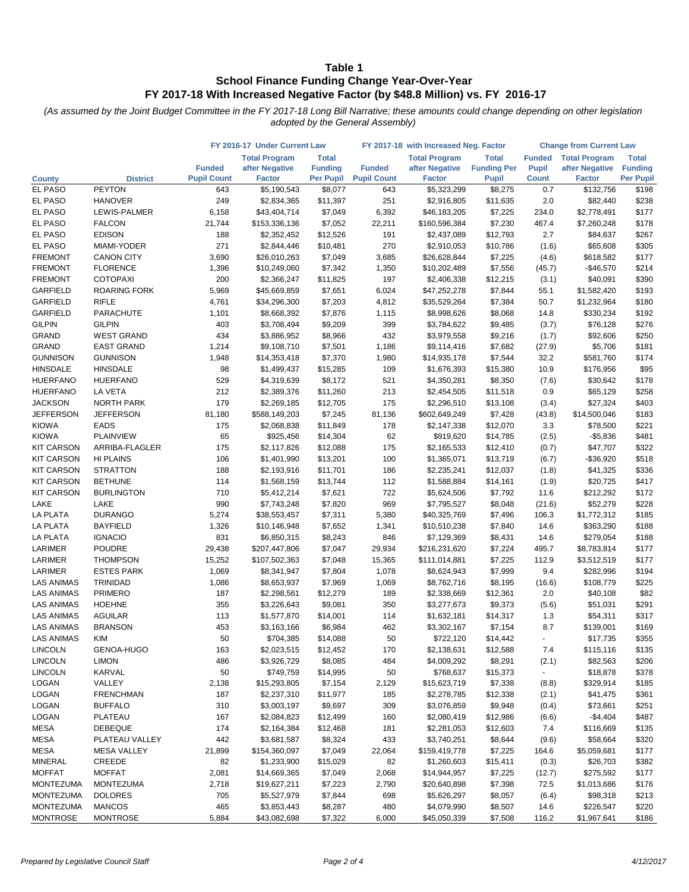|                                  |                                    | FY 2016-17 Under Current Law |                             |                     | FY 2017-18 with Increased Neg. Factor | <b>Change from Current Law</b> |                     |                 |                        |                |
|----------------------------------|------------------------------------|------------------------------|-----------------------------|---------------------|---------------------------------------|--------------------------------|---------------------|-----------------|------------------------|----------------|
|                                  |                                    |                              | <b>Total Program</b>        | <b>Total</b>        |                                       | <b>Total Program</b>           | <b>Total</b>        | <b>Funded</b>   | <b>Total Program</b>   | <b>Total</b>   |
|                                  |                                    | <b>Funded</b>                | after Negative              | <b>Funding</b>      | <b>Funded</b>                         | after Negative                 | <b>Funding Per</b>  | <b>Pupil</b>    | after Negative         | <b>Funding</b> |
| <b>County</b>                    | <b>District</b>                    | <b>Pupil Count</b>           | <b>Factor</b>               | <b>Per Pupil</b>    | <b>Pupil Count</b>                    | <b>Factor</b>                  | <b>Pupil</b>        | <b>Count</b>    | <b>Factor</b>          | Per Pupil      |
| EL PASO                          | <b>PEYTON</b>                      | 643                          | \$5,190,543                 | \$8,077             | 643                                   | \$5,323,299                    | \$8,275             | 0.7             | \$132,756              | \$198          |
| EL PASO                          | <b>HANOVER</b>                     | 249                          | \$2,834,365                 | \$11,397            | 251                                   | \$2,916,805                    | \$11,635            | 2.0             | \$82,440               | \$238          |
| EL PASO                          | LEWIS-PALMER                       | 6,158                        | \$43,404,714                | \$7,049             | 6,392                                 | \$46,183,205                   | \$7,225             | 234.0           | \$2,778,491            | \$177          |
| EL PASO                          | <b>FALCON</b>                      | 21,744                       | \$153,336,136               | \$7,052             | 22,211                                | \$160,596,384                  | \$7,230             | 467.4           | \$7,260,248            | \$178          |
| EL PASO                          | <b>EDISON</b>                      | 188                          | \$2,352,452                 | \$12,526            | 191                                   | \$2,437,089                    | \$12,793            | 2.7             | \$84,637               | \$267          |
| EL PASO                          | MIAMI-YODER                        | 271                          | \$2,844,446                 | \$10,481            | 270                                   | \$2,910,053                    | \$10,786            | (1.6)           | \$65,608               | \$305<br>\$177 |
| <b>FREMONT</b><br><b>FREMONT</b> | <b>CANON CITY</b>                  | 3,690                        | \$26,010,263                | \$7,049             | 3,685                                 | \$26,628,844                   | \$7,225             | (4.6)           | \$618,582              |                |
| <b>FREMONT</b>                   | <b>FLORENCE</b><br><b>COTOPAXI</b> | 1,396<br>200                 | \$10,249,060<br>\$2,366,247 | \$7,342<br>\$11,825 | 1,350<br>197                          | \$10,202,489<br>\$2,406,338    | \$7,556<br>\$12,215 | (45.7)<br>(3.1) | $-$46,570$<br>\$40,091 | \$214<br>\$390 |
| GARFIELD                         | <b>ROARING FORK</b>                | 5,969                        | \$45,669,859                | \$7,651             | 6,024                                 | \$47,252,278                   | \$7,844             | 55.1            | \$1,582,420            | \$193          |
| GARFIELD                         | <b>RIFLE</b>                       | 4,761                        | \$34,296,300                | \$7,203             | 4,812                                 | \$35,529,264                   | \$7,384             | 50.7            | \$1,232,964            | \$180          |
| GARFIELD                         | PARACHUTE                          | 1,101                        | \$8,668,392                 | \$7,876             | 1,115                                 | \$8,998,626                    | \$8,068             | 14.8            | \$330,234              | \$192          |
| <b>GILPIN</b>                    | <b>GILPIN</b>                      | 403                          | \$3,708,494                 | \$9,209             | 399                                   | \$3,784,622                    | \$9,485             | (3.7)           | \$76,128               | \$276          |
| <b>GRAND</b>                     | <b>WEST GRAND</b>                  | 434                          | \$3,886,952                 | \$8,966             | 432                                   | \$3,979,558                    | \$9,216             | (1.7)           | \$92,606               | \$250          |
| <b>GRAND</b>                     | <b>EAST GRAND</b>                  | 1,214                        | \$9,108,710                 | \$7,501             | 1,186                                 | \$9,114,416                    | \$7,682             | (27.9)          | \$5,706                | \$181          |
| <b>GUNNISON</b>                  | <b>GUNNISON</b>                    | 1,948                        | \$14,353,418                | \$7,370             | 1,980                                 | \$14,935,178                   | \$7,544             | 32.2            | \$581,760              | \$174          |
| <b>HINSDALE</b>                  | <b>HINSDALE</b>                    | 98                           | \$1,499,437                 | \$15,285            | 109                                   | \$1,676,393                    | \$15,380            | 10.9            | \$176,956              | \$95           |
| <b>HUERFANO</b>                  | <b>HUERFANO</b>                    | 529                          | \$4,319,639                 | \$8,172             | 521                                   | \$4,350,281                    | \$8,350             | (7.6)           | \$30,642               | \$178          |
| <b>HUERFANO</b>                  | LA VETA                            | 212                          | \$2,389,376                 | \$11,260            | 213                                   | \$2,454,505                    | \$11,518            | 0.9             | \$65,129               | \$258          |
| <b>JACKSON</b>                   | <b>NORTH PARK</b>                  | 179                          | \$2,269,185                 | \$12,705            | 175                                   | \$2,296,510                    | \$13,108            | (3.4)           | \$27,324               | \$403          |
| <b>JEFFERSON</b>                 | JEFFERSON                          | 81,180                       | \$588,149,203               | \$7,245             | 81,136                                | \$602,649,249                  | \$7,428             | (43.8)          | \$14,500,046           | \$183          |
| <b>KIOWA</b>                     | <b>EADS</b>                        | 175                          | \$2,068,838                 | \$11,849            | 178                                   | \$2,147,338                    | \$12,070            | 3.3             | \$78,500               | \$221          |
| <b>KIOWA</b>                     | <b>PLAINVIEW</b>                   | 65                           | \$925,456                   | \$14,304            | 62                                    | \$919,620                      | \$14,785            | (2.5)           | $-$5,836$              | \$481          |
| <b>KIT CARSON</b>                | ARRIBA-FLAGLER                     | 175                          | \$2,117,826                 | \$12,088            | 175                                   | \$2,165,533                    | \$12,410            | (0.7)           | \$47,707               | \$322          |
| <b>KIT CARSON</b>                | HI PLAINS                          | 106                          | \$1,401,990                 | \$13,201            | 100                                   | \$1,365,071                    | \$13,719            | (6.7)           | $-$36,920$             | \$518          |
| <b>KIT CARSON</b>                | <b>STRATTON</b>                    | 188                          | \$2,193,916                 | \$11,701            | 186                                   | \$2,235,241                    | \$12,037            | (1.8)           | \$41,325               | \$336          |
| <b>KIT CARSON</b>                | <b>BETHUNE</b>                     | 114                          | \$1,568,159                 | \$13,744            | 112                                   | \$1,588,884                    | \$14,161            | (1.9)           | \$20,725               | \$417          |
| <b>KIT CARSON</b>                | <b>BURLINGTON</b>                  | 710                          | \$5,412,214                 | \$7,621             | 722                                   | \$5,624,506                    | \$7,792             | 11.6            | \$212,292              | \$172          |
| LAKE                             | LAKE                               | 990                          | \$7,743,248                 | \$7,820             | 969                                   | \$7,795,527                    | \$8,048             | (21.6)          | \$52,279               | \$228          |
| <b>LA PLATA</b>                  | <b>DURANGO</b>                     | 5,274                        | \$38,553,457                | \$7,311             | 5,380                                 | \$40,325,769                   | \$7,496             | 106.3           | \$1,772,312            | \$185          |
| <b>LA PLATA</b>                  | <b>BAYFIELD</b>                    | 1,326                        | \$10,146,948                | \$7,652             | 1,341                                 | \$10,510,238                   | \$7,840             | 14.6            | \$363,290              | \$188          |
| <b>LA PLATA</b>                  | <b>IGNACIO</b>                     | 831                          | \$6,850,315                 | \$8,243             | 846                                   | \$7,129,369                    | \$8,431             | 14.6            | \$279,054              | \$188          |
| LARIMER                          | <b>POUDRE</b>                      | 29,438                       | \$207,447,806               | \$7,047             | 29,934                                | \$216,231,620                  | \$7,224             | 495.7           | \$8,783,814            | \$177          |
| LARIMER                          | <b>THOMPSON</b>                    | 15,252                       | \$107,502,363               | \$7,048             | 15,365                                | \$111,014,881                  | \$7,225             | 112.9           | \$3,512,519            | \$177          |
| LARIMER                          | <b>ESTES PARK</b>                  | 1,069                        | \$8,341,947                 | \$7,804             | 1,078                                 | \$8,624,943                    | \$7,999             | 9.4             | \$282,996              | \$194          |
| LAS ANIMAS                       | <b>TRINIDAD</b>                    | 1,086                        | \$8,653,937                 | \$7,969             | 1,069                                 | \$8,762,716                    | \$8,195             | (16.6)          | \$108,779              | \$225          |
| <b>LAS ANIMAS</b>                | <b>PRIMERO</b>                     | 187                          | \$2,298,561                 | \$12,279            | 189                                   | \$2,338,669                    | \$12,361            | 2.0             | \$40,108               | \$82           |
| <b>LAS ANIMAS</b>                | <b>HOEHNE</b>                      | 355                          | \$3,226,643                 | \$9,081             | 350                                   | \$3,277,673                    | \$9,373             | (5.6)           | \$51,031               | \$291          |
| <b>LAS ANIMAS</b>                | <b>AGUILAR</b>                     | 113                          | \$1,577,870                 | \$14,001            | 114                                   | \$1,632,181                    | \$14,317            | 1.3             | \$54,311               | \$317          |
| <b>LAS ANIMAS</b>                | <b>BRANSON</b>                     | 453                          | \$3,163,166                 | \$6,984             | 462                                   | \$3,302,167                    | \$7,154             | 8.7             | \$139,001              | \$169          |
| <b>LAS ANIMAS</b>                | KIM                                | 50                           | \$704,385                   | \$14,088            | 50                                    | \$722,120                      | \$14,442            | $\blacksquare$  | \$17,735               | \$355          |
| <b>LINCOLN</b>                   | GENOA-HUGO                         | 163                          | \$2,023,515                 | \$12,452            | 170                                   | \$2,138,631                    | \$12,588            | 7.4             | \$115,116              | \$135          |
| <b>LINCOLN</b>                   | <b>LIMON</b>                       | 486                          | \$3,926,729                 | \$8,085             | 484                                   | \$4,009,292                    | \$8,291             | (2.1)           | \$82,563               | \$206          |
| <b>LINCOLN</b>                   | KARVAL                             | 50                           | \$749,759                   | \$14,995            | 50                                    | \$768,637                      | \$15,373            |                 | \$18,878               | \$378          |
| LOGAN                            | VALLEY                             | 2,138                        | \$15,293,805                | \$7,154             | 2,129                                 | \$15,623,719                   | \$7,338             | (8.8)           | \$329,914              | \$185          |
| LOGAN                            | <b>FRENCHMAN</b>                   | 187                          | \$2,237,310                 | \$11,977            | 185                                   | \$2,278,785                    | \$12,338            | (2.1)           | \$41,475               | \$361          |
| LOGAN                            | <b>BUFFALO</b>                     | 310                          | \$3,003,197                 | \$9,697             | 309                                   | \$3,076,859                    | \$9,948             | (0.4)           | \$73,661               | \$251          |
| LOGAN                            | PLATEAU                            | 167                          | \$2,084,823                 | \$12,499            | 160                                   | \$2,080,419                    | \$12,986            | (6.6)           | $-$4,404$              | \$487          |
| MESA                             | <b>DEBEQUE</b>                     | 174                          | \$2,164,384                 | \$12,468            | 181                                   | \$2,281,053                    | \$12,603            | 7.4             | \$116,669              | \$135          |
| MESA                             | PLATEAU VALLEY                     | 442                          | \$3,681,587                 | \$8,324             | 433                                   | \$3,740,251                    | \$8,644             | (9.6)           | \$58,664               | \$320          |
| <b>MESA</b>                      | <b>MESA VALLEY</b>                 | 21,899                       | \$154,360,097               | \$7,049             | 22,064                                | \$159,419,778                  | \$7,225             | 164.6           | \$5,059,681            | \$177          |
| MINERAL                          | <b>CREEDE</b>                      | 82                           | \$1,233,900                 | \$15,029            | 82                                    | \$1,260,603                    | \$15,411            | (0.3)           | \$26,703               | \$382          |
| <b>MOFFAT</b>                    | <b>MOFFAT</b>                      | 2,081                        | \$14,669,365                | \$7,049             | 2,068                                 | \$14,944,957                   | \$7,225             | (12.7)          | \$275,592              | \$177          |
| <b>MONTEZUMA</b>                 | <b>MONTEZUMA</b>                   | 2,718                        | \$19,627,211                | \$7,223             | 2,790                                 | \$20,640,898                   | \$7,398             | 72.5            | \$1,013,686            | \$176          |
| <b>MONTEZUMA</b>                 | <b>DOLORES</b>                     | 705                          | \$5,527,979                 | \$7,844             | 698                                   | \$5,626,297                    | \$8,057             | (6.4)           | \$98,318               | \$213          |
| <b>MONTEZUMA</b>                 | <b>MANCOS</b>                      | 465                          | \$3,853,443                 | \$8,287             | 480                                   | \$4,079,990                    | \$8,507             | 14.6            | \$226,547              | \$220          |
| <b>MONTROSE</b>                  | <b>MONTROSE</b>                    | 5,884                        | \$43,082,698                | \$7,322             | 6,000                                 | \$45,050,339                   | \$7,508             | 116.2           | \$1,967,641            | \$186          |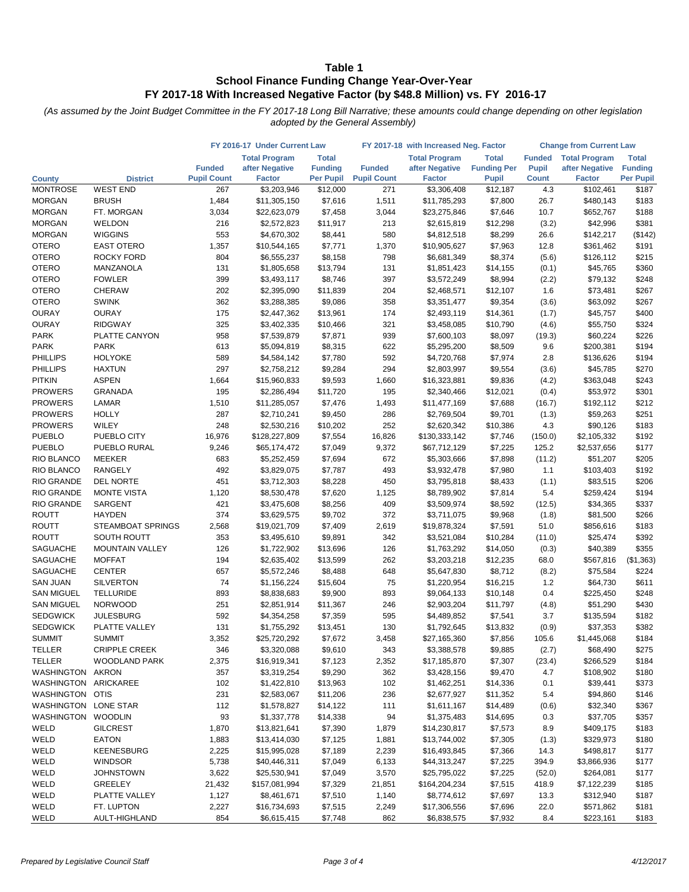| <b>Total Program</b><br><b>Total Program</b><br><b>Total</b><br><b>Total Program</b><br><b>Total</b><br><b>Funded</b><br><b>Total</b><br><b>Funded</b><br><b>Funding Per</b><br>after Negative<br><b>Funding</b><br><b>Funded</b><br>after Negative<br><b>Pupil</b><br>after Negative<br><b>Funding</b><br><b>Pupil Count</b><br><b>Per Pupil</b><br>Per Pupil<br><b>Factor</b><br><b>Pupil Count</b><br><b>Factor</b><br><b>Pupil</b><br><b>Count</b><br><b>Factor</b><br><b>District</b><br><b>County</b><br><b>WEST END</b><br>\$12,000<br>\$102,461<br>\$187<br><b>MONTROSE</b><br>267<br>\$3,203,946<br>271<br>\$3,306,408<br>\$12,187<br>4.3<br><b>MORGAN</b><br><b>BRUSH</b><br>1,484<br>\$7,616<br>1,511<br>\$7,800<br>26.7<br>\$183<br>\$11,305,150<br>\$11,785,293<br>\$480,143<br><b>MORGAN</b><br>FT. MORGAN<br>\$7,458<br>3,044<br>\$7,646<br>10.7<br>\$652,767<br>\$188<br>3,034<br>\$22,623,079<br>\$23,275,846<br>WELDON<br><b>MORGAN</b><br>216<br>\$11,917<br>213<br>\$12,298<br>(3.2)<br>\$42,996<br>\$381<br>\$2,572,823<br>\$2,615,819<br><b>WIGGINS</b><br>553<br>580<br>\$8,299<br>(\$142)<br><b>MORGAN</b><br>\$4,670,302<br>\$8,441<br>\$4,812,518<br>26.6<br>\$142,217<br><b>OTERO</b><br><b>EAST OTERO</b><br>1,357<br>\$7,771<br>1,370<br>\$7,963<br>12.8<br>\$361,462<br>\$191<br>\$10,544,165<br>\$10,905,627<br><b>OTERO</b><br>ROCKY FORD<br>804<br>\$8,158<br>798<br>\$8,374<br>\$126,112<br>\$215<br>\$6,555,237<br>\$6,681,349<br>(5.6)<br><b>OTERO</b><br>131<br>\$360<br>MANZANOLA<br>\$1,805,658<br>\$13,794<br>131<br>\$1,851,423<br>\$14,155<br>(0.1)<br>\$45,765<br><b>OTERO</b><br><b>FOWLER</b><br>399<br>\$8,746<br>397<br>\$8,994<br>\$79,132<br>\$248<br>\$3,493,117<br>\$3,572,249<br>(2.2)<br><b>OTERO</b><br>CHERAW<br>202<br>\$11,839<br>204<br>\$73,481<br>\$267<br>\$2,395,090<br>\$2,468,571<br>\$12,107<br>1.6<br><b>OTERO</b><br>362<br>358<br>\$267<br><b>SWINK</b><br>\$3,288,385<br>\$9,086<br>\$3,351,477<br>\$9,354<br>(3.6)<br>\$63,092<br><b>OURAY</b><br><b>OURAY</b><br>175<br>\$13,961<br>174<br>\$400<br>\$2,447,362<br>\$2,493,119<br>\$14,361<br>(1.7)<br>\$45,757<br><b>OURAY</b><br><b>RIDGWAY</b><br>325<br>\$3,402,335<br>\$10,466<br>321<br>\$10,790<br>\$55,750<br>\$324<br>\$3,458,085<br>(4.6)<br>\$226<br><b>PARK</b><br>958<br>\$7,871<br>939<br>\$60,224<br>PLATTE CANYON<br>\$7,539,879<br>\$7,600,103<br>\$8,097<br>(19.3)<br>\$194<br><b>PARK</b><br><b>PARK</b><br>613<br>\$5,094,819<br>\$8,315<br>622<br>\$8,509<br>9.6<br>\$200,381<br>\$5,295,200<br>\$194<br><b>PHILLIPS</b><br><b>HOLYOKE</b><br>589<br>\$7,780<br>592<br>\$7,974<br>2.8<br>\$4,584,142<br>\$4,720,768<br>\$136,626<br>\$270<br><b>PHILLIPS</b><br>297<br>\$9,284<br>294<br><b>HAXTUN</b><br>\$2,758,212<br>\$2,803,997<br>\$9,554<br>(3.6)<br>\$45,785<br>\$243<br><b>PITKIN</b><br><b>ASPEN</b><br>1,664<br>\$15,960,833<br>\$9,593<br>1,660<br>\$16,323,881<br>\$9,836<br>(4.2)<br>\$363,048<br><b>PROWERS</b><br>GRANADA<br>195<br>\$11,720<br>195<br>\$53,972<br>\$301<br>\$2,286,494<br>\$2,340,466<br>\$12,021<br>(0.4)<br>\$212<br><b>PROWERS</b><br>LAMAR<br>1,510<br>\$11,285,057<br>\$7,476<br>1,493<br>\$11,477,169<br>\$7,688<br>(16.7)<br>\$192,112<br><b>PROWERS</b><br><b>HOLLY</b><br>287<br>\$2,710,241<br>\$9,450<br>286<br>\$9,701<br>\$59,263<br>\$251<br>\$2,769,504<br>(1.3)<br>\$183<br><b>PROWERS</b><br>WILEY<br>248<br>252<br>\$2,530,216<br>\$10,202<br>\$2,620,342<br>\$10,386<br>4.3<br>\$90,126<br>\$192<br><b>PUEBLO</b><br>PUEBLO CITY<br>16,976<br>\$7,554<br>\$128,227,809<br>16,826<br>\$130,333,142<br>\$7,746<br>(150.0)<br>\$2,105,332<br>PUEBLO RURAL<br>9,246<br>\$7,049<br>9,372<br>\$7,225<br>125.2<br>\$2,537,656<br>\$177<br>\$65,174,472<br>\$67,712,129<br>\$205<br><b>MEEKER</b><br>683<br>\$7,694<br>672<br>\$51,207<br>\$5,252,459<br>\$5,303,666<br>\$7,898<br>(11.2)<br>492<br>\$192<br><b>RANGELY</b><br>\$3,829,075<br>\$7,787<br>493<br>\$7,980<br>\$103,403<br>\$3,932,478<br>1.1<br><b>DEL NORTE</b><br>451<br>\$3,712,303<br>\$8,228<br>450<br>\$3,795,818<br>\$8,433<br>\$83,515<br>\$206<br>(1.1)<br>\$194<br><b>MONTE VISTA</b><br>\$7,620<br>5.4<br>1,120<br>\$8,530,478<br>1,125<br>\$8,789,902<br>\$7,814<br>\$259,424<br><b>SARGENT</b><br>421<br>\$8,256<br>409<br>\$8,592<br>\$337<br>\$3,475,608<br>\$3,509,974<br>(12.5)<br>\$34,365<br>374<br>\$9,702<br>372<br>\$266<br><b>HAYDEN</b><br>\$3,629,575<br>\$3,711,075<br>\$9,968<br>(1.8)<br>\$81,500<br>\$183<br>STEAMBOAT SPRINGS<br>2,568<br>\$19,021,709<br>\$7,409<br>2,619<br>\$7,591<br>51.0<br>\$856,616<br>\$19,878,324<br>\$392<br>SOUTH ROUTT<br>353<br>\$9,891<br>342<br>\$10,284<br>\$25,474<br>\$3,495,610<br>\$3,521,084<br>(11.0)<br>126<br>126<br>\$40,389<br>\$355<br><b>MOUNTAIN VALLEY</b><br>\$1,722,902<br>\$13,696<br>\$1,763,292<br>\$14,050<br>(0.3)<br><b>MOFFAT</b><br>194<br>\$13,599<br>262<br>\$12,235<br>\$567,816<br>(\$1,363)<br>\$2,635,402<br>\$3,203,218<br>68.0<br><b>CENTER</b><br>657<br>648<br>\$8,712<br>\$224<br>\$5,572,246<br>\$8,488<br>\$5,647,830<br>(8.2)<br>\$75,584<br><b>SILVERTON</b><br>74<br>75<br>\$16,215<br>\$611<br>\$1,156,224<br>\$15,604<br>\$1,220,954<br>1.2<br>\$64,730<br><b>SAN MIGUEL</b><br><b>TELLURIDE</b><br>893<br>\$9,900<br>893<br>\$10,148<br>\$225,450<br>\$248<br>\$8,838,683<br>\$9,064,133<br>0.4<br><b>SAN MIGUEL</b><br><b>NORWOOD</b><br>251<br>\$11,367<br>246<br>\$11,797<br>\$430<br>\$2,851,914<br>\$2,903,204<br>(4.8)<br>\$51,290<br><b>SEDGWICK</b><br><b>JULESBURG</b><br>592<br>595<br>\$182<br>\$4,354,258<br>\$7,359<br>\$4,489,852<br>\$7,541<br>3.7<br>\$135,594<br>\$382<br><b>SEDGWICK</b><br>PLATTE VALLEY<br>131<br>130<br>\$13,832<br>\$37,353<br>\$1,755,292<br>\$13,451<br>\$1,792,645<br>(0.9)<br>\$184<br><b>SUMMIT</b><br>3,352<br><b>SUMMIT</b><br>\$25,720,292<br>\$7,672<br>3,458<br>\$27,165,360<br>\$7,856<br>105.6<br>\$1,445,068<br><b>TELLER</b><br><b>CRIPPLE CREEK</b><br>346<br>\$9,610<br>343<br>\$9,885<br>\$68,490<br>\$275<br>\$3,320,088<br>\$3,388,578<br>(2.7)<br><b>TELLER</b><br>2,375<br>\$7,123<br>2,352<br>\$7,307<br>\$266,529<br>\$184<br><b>WOODLAND PARK</b><br>\$16,919,341<br>\$17,185,870<br>(23.4)<br>\$180<br>WASHINGTON<br><b>AKRON</b><br>357<br>\$3,319,254<br>\$9,290<br>362<br>\$3,428,156<br>\$9,470<br>4.7<br>\$108,902<br>ARICKAREE<br>WASHINGTON<br>102<br>\$1,422,810<br>\$13,963<br>102<br>\$1,462,251<br>\$14,336<br>0.1<br>\$39,441<br>\$373<br>WASHINGTON OTIS<br>231<br>\$2,583,067<br>\$11,206<br>236<br>\$2,677,927<br>\$11,352<br>5.4<br>\$94,860<br>\$146<br>WASHINGTON LONE STAR<br>112<br>\$1,578,827<br>\$14,122<br>111<br>\$1,611,167<br>\$14,489<br>\$32,340<br>\$367<br>(0.6)<br>WASHINGTON<br><b>WOODLIN</b><br>93<br>\$1,337,778<br>\$14,338<br>94<br>\$1,375,483<br>\$14,695<br>\$37,705<br>\$357<br>0.3<br>\$183<br>WELD<br><b>GILCREST</b><br>1,870<br>\$13,821,641<br>\$7,390<br>1,879<br>\$14,230,817<br>\$7,573<br>8.9<br>\$409,175<br>WELD<br>\$180<br>EATON<br>1,883<br>\$13,414,030<br>\$7,125<br>1,881<br>\$13,744,002<br>\$7,305<br>\$329,973<br>(1.3)<br>WELD<br><b>KEENESBURG</b><br>\$177<br>2,225<br>\$7,189<br>2,239<br>\$16,493,845<br>\$7,366<br>\$498,817<br>\$15,995,028<br>14.3<br>WELD<br><b>WINDSOR</b><br>5,738<br>\$177<br>\$40,446,311<br>\$7,049<br>6,133<br>\$44,313,247<br>\$7,225<br>394.9<br>\$3,866,936<br>WELD<br><b>JOHNSTOWN</b><br>\$177<br>3,622<br>\$25,530,941<br>\$7,049<br>3,570<br>\$25,795,022<br>\$7,225<br>(52.0)<br>\$264,081<br>WELD<br><b>GREELEY</b><br>\$185<br>21,432<br>\$157,081,994<br>\$7,329<br>21,851<br>\$164,204,234<br>\$7,515<br>418.9<br>\$7,122,239<br>WELD<br>PLATTE VALLEY<br>1,127<br>\$8,461,671<br>\$7,510<br>1,140<br>\$8,774,612<br>\$7,697<br>13.3<br>\$312,940<br>\$187<br>WELD<br>FT. LUPTON<br>2,227<br>22.0<br>\$181<br>\$16,734,693<br>\$7,515<br>2,249<br>\$17,306,556<br>\$7,696<br>\$571,862 |                   |               | FY 2016-17 Under Current Law |             |         |     | FY 2017-18 with Increased Neg. Factor | <b>Change from Current Law</b> |     |           |       |
|-------------------------------------------------------------------------------------------------------------------------------------------------------------------------------------------------------------------------------------------------------------------------------------------------------------------------------------------------------------------------------------------------------------------------------------------------------------------------------------------------------------------------------------------------------------------------------------------------------------------------------------------------------------------------------------------------------------------------------------------------------------------------------------------------------------------------------------------------------------------------------------------------------------------------------------------------------------------------------------------------------------------------------------------------------------------------------------------------------------------------------------------------------------------------------------------------------------------------------------------------------------------------------------------------------------------------------------------------------------------------------------------------------------------------------------------------------------------------------------------------------------------------------------------------------------------------------------------------------------------------------------------------------------------------------------------------------------------------------------------------------------------------------------------------------------------------------------------------------------------------------------------------------------------------------------------------------------------------------------------------------------------------------------------------------------------------------------------------------------------------------------------------------------------------------------------------------------------------------------------------------------------------------------------------------------------------------------------------------------------------------------------------------------------------------------------------------------------------------------------------------------------------------------------------------------------------------------------------------------------------------------------------------------------------------------------------------------------------------------------------------------------------------------------------------------------------------------------------------------------------------------------------------------------------------------------------------------------------------------------------------------------------------------------------------------------------------------------------------------------------------------------------------------------------------------------------------------------------------------------------------------------------------------------------------------------------------------------------------------------------------------------------------------------------------------------------------------------------------------------------------------------------------------------------------------------------------------------------------------------------------------------------------------------------------------------------------------------------------------------------------------------------------------------------------------------------------------------------------------------------------------------------------------------------------------------------------------------------------------------------------------------------------------------------------------------------------------------------------------------------------------------------------------------------------------------------------------------------------------------------------------------------------------------------------------------------------------------------------------------------------------------------------------------------------------------------------------------------------------------------------------------------------------------------------------------------------------------------------------------------------------------------------------------------------------------------------------------------------------------------------------------------------------------------------------------------------------------------------------------------------------------------------------------------------------------------------------------------------------------------------------------------------------------------------------------------------------------------------------------------------------------------------------------------------------------------------------------------------------------------------------------------------------------------------------------------------------------------------------------------------------------------------------------------------------------------------------------------------------------------------------------------------------------------------------------------------------------------------------------------------------------------------------------------------------------------------------------------------------------------------------------------------------------------------------------------------------------------------------------------------------------------------------------------------------------------------------------------------------------------------------------------------------------------------------------------------------------------------------------------------------------------------------------------------------------------------------------------------------------------------------------------------------------------------------------------------------------------------------------------------------------------------------------------------------------------------------------------------------------------------------------------------------------------------------------------------------------------------------------------------------------------------------------------------------------------------------------------------------------------------------------------------------------------------------------------------------------------------------------------------------------------------------------------------------------------------------------------------------------------------------------------------------------------------------------------------------------------------------------------------------------------------------------------------------------------------------------------------------------------------------------------------------------------------------------------------------------------------------------------------------------------------------------------------------------------------------------------------------------------------------------------------------------------------------------------------------------------------------------------------------------------------------------------------------------------------------------------------------------------------------------------------------------------------------------------------------------------------------------------------------------------------------------------------|-------------------|---------------|------------------------------|-------------|---------|-----|---------------------------------------|--------------------------------|-----|-----------|-------|
|                                                                                                                                                                                                                                                                                                                                                                                                                                                                                                                                                                                                                                                                                                                                                                                                                                                                                                                                                                                                                                                                                                                                                                                                                                                                                                                                                                                                                                                                                                                                                                                                                                                                                                                                                                                                                                                                                                                                                                                                                                                                                                                                                                                                                                                                                                                                                                                                                                                                                                                                                                                                                                                                                                                                                                                                                                                                                                                                                                                                                                                                                                                                                                                                                                                                                                                                                                                                                                                                                                                                                                                                                                                                                                                                                                                                                                                                                                                                                                                                                                                                                                                                                                                                                                                                                                                                                                                                                                                                                                                                                                                                                                                                                                                                                                                                                                                                                                                                                                                                                                                                                                                                                                                                                                                                                                                                                                                                                                                                                                                                                                                                                                                                                                                                                                                                                                                                                                                                                                                                                                                                                                                                                                                                                                                                                                                                                                                                                                                                                                                                                                                                                                                                                                                                                                                                                                                                                                                                                                                                                                                                                                                                                                                                                                                                                                                                                                                                                                                                                                                                                                                                                                                                                                                                                                                                                                                                                                                               |                   |               |                              |             |         |     |                                       |                                |     |           |       |
|                                                                                                                                                                                                                                                                                                                                                                                                                                                                                                                                                                                                                                                                                                                                                                                                                                                                                                                                                                                                                                                                                                                                                                                                                                                                                                                                                                                                                                                                                                                                                                                                                                                                                                                                                                                                                                                                                                                                                                                                                                                                                                                                                                                                                                                                                                                                                                                                                                                                                                                                                                                                                                                                                                                                                                                                                                                                                                                                                                                                                                                                                                                                                                                                                                                                                                                                                                                                                                                                                                                                                                                                                                                                                                                                                                                                                                                                                                                                                                                                                                                                                                                                                                                                                                                                                                                                                                                                                                                                                                                                                                                                                                                                                                                                                                                                                                                                                                                                                                                                                                                                                                                                                                                                                                                                                                                                                                                                                                                                                                                                                                                                                                                                                                                                                                                                                                                                                                                                                                                                                                                                                                                                                                                                                                                                                                                                                                                                                                                                                                                                                                                                                                                                                                                                                                                                                                                                                                                                                                                                                                                                                                                                                                                                                                                                                                                                                                                                                                                                                                                                                                                                                                                                                                                                                                                                                                                                                                                               |                   |               |                              |             |         |     |                                       |                                |     |           |       |
|                                                                                                                                                                                                                                                                                                                                                                                                                                                                                                                                                                                                                                                                                                                                                                                                                                                                                                                                                                                                                                                                                                                                                                                                                                                                                                                                                                                                                                                                                                                                                                                                                                                                                                                                                                                                                                                                                                                                                                                                                                                                                                                                                                                                                                                                                                                                                                                                                                                                                                                                                                                                                                                                                                                                                                                                                                                                                                                                                                                                                                                                                                                                                                                                                                                                                                                                                                                                                                                                                                                                                                                                                                                                                                                                                                                                                                                                                                                                                                                                                                                                                                                                                                                                                                                                                                                                                                                                                                                                                                                                                                                                                                                                                                                                                                                                                                                                                                                                                                                                                                                                                                                                                                                                                                                                                                                                                                                                                                                                                                                                                                                                                                                                                                                                                                                                                                                                                                                                                                                                                                                                                                                                                                                                                                                                                                                                                                                                                                                                                                                                                                                                                                                                                                                                                                                                                                                                                                                                                                                                                                                                                                                                                                                                                                                                                                                                                                                                                                                                                                                                                                                                                                                                                                                                                                                                                                                                                                                               |                   |               |                              |             |         |     |                                       |                                |     |           |       |
|                                                                                                                                                                                                                                                                                                                                                                                                                                                                                                                                                                                                                                                                                                                                                                                                                                                                                                                                                                                                                                                                                                                                                                                                                                                                                                                                                                                                                                                                                                                                                                                                                                                                                                                                                                                                                                                                                                                                                                                                                                                                                                                                                                                                                                                                                                                                                                                                                                                                                                                                                                                                                                                                                                                                                                                                                                                                                                                                                                                                                                                                                                                                                                                                                                                                                                                                                                                                                                                                                                                                                                                                                                                                                                                                                                                                                                                                                                                                                                                                                                                                                                                                                                                                                                                                                                                                                                                                                                                                                                                                                                                                                                                                                                                                                                                                                                                                                                                                                                                                                                                                                                                                                                                                                                                                                                                                                                                                                                                                                                                                                                                                                                                                                                                                                                                                                                                                                                                                                                                                                                                                                                                                                                                                                                                                                                                                                                                                                                                                                                                                                                                                                                                                                                                                                                                                                                                                                                                                                                                                                                                                                                                                                                                                                                                                                                                                                                                                                                                                                                                                                                                                                                                                                                                                                                                                                                                                                                                               |                   |               |                              |             |         |     |                                       |                                |     |           |       |
|                                                                                                                                                                                                                                                                                                                                                                                                                                                                                                                                                                                                                                                                                                                                                                                                                                                                                                                                                                                                                                                                                                                                                                                                                                                                                                                                                                                                                                                                                                                                                                                                                                                                                                                                                                                                                                                                                                                                                                                                                                                                                                                                                                                                                                                                                                                                                                                                                                                                                                                                                                                                                                                                                                                                                                                                                                                                                                                                                                                                                                                                                                                                                                                                                                                                                                                                                                                                                                                                                                                                                                                                                                                                                                                                                                                                                                                                                                                                                                                                                                                                                                                                                                                                                                                                                                                                                                                                                                                                                                                                                                                                                                                                                                                                                                                                                                                                                                                                                                                                                                                                                                                                                                                                                                                                                                                                                                                                                                                                                                                                                                                                                                                                                                                                                                                                                                                                                                                                                                                                                                                                                                                                                                                                                                                                                                                                                                                                                                                                                                                                                                                                                                                                                                                                                                                                                                                                                                                                                                                                                                                                                                                                                                                                                                                                                                                                                                                                                                                                                                                                                                                                                                                                                                                                                                                                                                                                                                                               |                   |               |                              |             |         |     |                                       |                                |     |           |       |
|                                                                                                                                                                                                                                                                                                                                                                                                                                                                                                                                                                                                                                                                                                                                                                                                                                                                                                                                                                                                                                                                                                                                                                                                                                                                                                                                                                                                                                                                                                                                                                                                                                                                                                                                                                                                                                                                                                                                                                                                                                                                                                                                                                                                                                                                                                                                                                                                                                                                                                                                                                                                                                                                                                                                                                                                                                                                                                                                                                                                                                                                                                                                                                                                                                                                                                                                                                                                                                                                                                                                                                                                                                                                                                                                                                                                                                                                                                                                                                                                                                                                                                                                                                                                                                                                                                                                                                                                                                                                                                                                                                                                                                                                                                                                                                                                                                                                                                                                                                                                                                                                                                                                                                                                                                                                                                                                                                                                                                                                                                                                                                                                                                                                                                                                                                                                                                                                                                                                                                                                                                                                                                                                                                                                                                                                                                                                                                                                                                                                                                                                                                                                                                                                                                                                                                                                                                                                                                                                                                                                                                                                                                                                                                                                                                                                                                                                                                                                                                                                                                                                                                                                                                                                                                                                                                                                                                                                                                                               |                   |               |                              |             |         |     |                                       |                                |     |           |       |
|                                                                                                                                                                                                                                                                                                                                                                                                                                                                                                                                                                                                                                                                                                                                                                                                                                                                                                                                                                                                                                                                                                                                                                                                                                                                                                                                                                                                                                                                                                                                                                                                                                                                                                                                                                                                                                                                                                                                                                                                                                                                                                                                                                                                                                                                                                                                                                                                                                                                                                                                                                                                                                                                                                                                                                                                                                                                                                                                                                                                                                                                                                                                                                                                                                                                                                                                                                                                                                                                                                                                                                                                                                                                                                                                                                                                                                                                                                                                                                                                                                                                                                                                                                                                                                                                                                                                                                                                                                                                                                                                                                                                                                                                                                                                                                                                                                                                                                                                                                                                                                                                                                                                                                                                                                                                                                                                                                                                                                                                                                                                                                                                                                                                                                                                                                                                                                                                                                                                                                                                                                                                                                                                                                                                                                                                                                                                                                                                                                                                                                                                                                                                                                                                                                                                                                                                                                                                                                                                                                                                                                                                                                                                                                                                                                                                                                                                                                                                                                                                                                                                                                                                                                                                                                                                                                                                                                                                                                                               |                   |               |                              |             |         |     |                                       |                                |     |           |       |
|                                                                                                                                                                                                                                                                                                                                                                                                                                                                                                                                                                                                                                                                                                                                                                                                                                                                                                                                                                                                                                                                                                                                                                                                                                                                                                                                                                                                                                                                                                                                                                                                                                                                                                                                                                                                                                                                                                                                                                                                                                                                                                                                                                                                                                                                                                                                                                                                                                                                                                                                                                                                                                                                                                                                                                                                                                                                                                                                                                                                                                                                                                                                                                                                                                                                                                                                                                                                                                                                                                                                                                                                                                                                                                                                                                                                                                                                                                                                                                                                                                                                                                                                                                                                                                                                                                                                                                                                                                                                                                                                                                                                                                                                                                                                                                                                                                                                                                                                                                                                                                                                                                                                                                                                                                                                                                                                                                                                                                                                                                                                                                                                                                                                                                                                                                                                                                                                                                                                                                                                                                                                                                                                                                                                                                                                                                                                                                                                                                                                                                                                                                                                                                                                                                                                                                                                                                                                                                                                                                                                                                                                                                                                                                                                                                                                                                                                                                                                                                                                                                                                                                                                                                                                                                                                                                                                                                                                                                                               |                   |               |                              |             |         |     |                                       |                                |     |           |       |
|                                                                                                                                                                                                                                                                                                                                                                                                                                                                                                                                                                                                                                                                                                                                                                                                                                                                                                                                                                                                                                                                                                                                                                                                                                                                                                                                                                                                                                                                                                                                                                                                                                                                                                                                                                                                                                                                                                                                                                                                                                                                                                                                                                                                                                                                                                                                                                                                                                                                                                                                                                                                                                                                                                                                                                                                                                                                                                                                                                                                                                                                                                                                                                                                                                                                                                                                                                                                                                                                                                                                                                                                                                                                                                                                                                                                                                                                                                                                                                                                                                                                                                                                                                                                                                                                                                                                                                                                                                                                                                                                                                                                                                                                                                                                                                                                                                                                                                                                                                                                                                                                                                                                                                                                                                                                                                                                                                                                                                                                                                                                                                                                                                                                                                                                                                                                                                                                                                                                                                                                                                                                                                                                                                                                                                                                                                                                                                                                                                                                                                                                                                                                                                                                                                                                                                                                                                                                                                                                                                                                                                                                                                                                                                                                                                                                                                                                                                                                                                                                                                                                                                                                                                                                                                                                                                                                                                                                                                                               |                   |               |                              |             |         |     |                                       |                                |     |           |       |
|                                                                                                                                                                                                                                                                                                                                                                                                                                                                                                                                                                                                                                                                                                                                                                                                                                                                                                                                                                                                                                                                                                                                                                                                                                                                                                                                                                                                                                                                                                                                                                                                                                                                                                                                                                                                                                                                                                                                                                                                                                                                                                                                                                                                                                                                                                                                                                                                                                                                                                                                                                                                                                                                                                                                                                                                                                                                                                                                                                                                                                                                                                                                                                                                                                                                                                                                                                                                                                                                                                                                                                                                                                                                                                                                                                                                                                                                                                                                                                                                                                                                                                                                                                                                                                                                                                                                                                                                                                                                                                                                                                                                                                                                                                                                                                                                                                                                                                                                                                                                                                                                                                                                                                                                                                                                                                                                                                                                                                                                                                                                                                                                                                                                                                                                                                                                                                                                                                                                                                                                                                                                                                                                                                                                                                                                                                                                                                                                                                                                                                                                                                                                                                                                                                                                                                                                                                                                                                                                                                                                                                                                                                                                                                                                                                                                                                                                                                                                                                                                                                                                                                                                                                                                                                                                                                                                                                                                                                                               |                   |               |                              |             |         |     |                                       |                                |     |           |       |
|                                                                                                                                                                                                                                                                                                                                                                                                                                                                                                                                                                                                                                                                                                                                                                                                                                                                                                                                                                                                                                                                                                                                                                                                                                                                                                                                                                                                                                                                                                                                                                                                                                                                                                                                                                                                                                                                                                                                                                                                                                                                                                                                                                                                                                                                                                                                                                                                                                                                                                                                                                                                                                                                                                                                                                                                                                                                                                                                                                                                                                                                                                                                                                                                                                                                                                                                                                                                                                                                                                                                                                                                                                                                                                                                                                                                                                                                                                                                                                                                                                                                                                                                                                                                                                                                                                                                                                                                                                                                                                                                                                                                                                                                                                                                                                                                                                                                                                                                                                                                                                                                                                                                                                                                                                                                                                                                                                                                                                                                                                                                                                                                                                                                                                                                                                                                                                                                                                                                                                                                                                                                                                                                                                                                                                                                                                                                                                                                                                                                                                                                                                                                                                                                                                                                                                                                                                                                                                                                                                                                                                                                                                                                                                                                                                                                                                                                                                                                                                                                                                                                                                                                                                                                                                                                                                                                                                                                                                                               |                   |               |                              |             |         |     |                                       |                                |     |           |       |
|                                                                                                                                                                                                                                                                                                                                                                                                                                                                                                                                                                                                                                                                                                                                                                                                                                                                                                                                                                                                                                                                                                                                                                                                                                                                                                                                                                                                                                                                                                                                                                                                                                                                                                                                                                                                                                                                                                                                                                                                                                                                                                                                                                                                                                                                                                                                                                                                                                                                                                                                                                                                                                                                                                                                                                                                                                                                                                                                                                                                                                                                                                                                                                                                                                                                                                                                                                                                                                                                                                                                                                                                                                                                                                                                                                                                                                                                                                                                                                                                                                                                                                                                                                                                                                                                                                                                                                                                                                                                                                                                                                                                                                                                                                                                                                                                                                                                                                                                                                                                                                                                                                                                                                                                                                                                                                                                                                                                                                                                                                                                                                                                                                                                                                                                                                                                                                                                                                                                                                                                                                                                                                                                                                                                                                                                                                                                                                                                                                                                                                                                                                                                                                                                                                                                                                                                                                                                                                                                                                                                                                                                                                                                                                                                                                                                                                                                                                                                                                                                                                                                                                                                                                                                                                                                                                                                                                                                                                                               |                   |               |                              |             |         |     |                                       |                                |     |           |       |
|                                                                                                                                                                                                                                                                                                                                                                                                                                                                                                                                                                                                                                                                                                                                                                                                                                                                                                                                                                                                                                                                                                                                                                                                                                                                                                                                                                                                                                                                                                                                                                                                                                                                                                                                                                                                                                                                                                                                                                                                                                                                                                                                                                                                                                                                                                                                                                                                                                                                                                                                                                                                                                                                                                                                                                                                                                                                                                                                                                                                                                                                                                                                                                                                                                                                                                                                                                                                                                                                                                                                                                                                                                                                                                                                                                                                                                                                                                                                                                                                                                                                                                                                                                                                                                                                                                                                                                                                                                                                                                                                                                                                                                                                                                                                                                                                                                                                                                                                                                                                                                                                                                                                                                                                                                                                                                                                                                                                                                                                                                                                                                                                                                                                                                                                                                                                                                                                                                                                                                                                                                                                                                                                                                                                                                                                                                                                                                                                                                                                                                                                                                                                                                                                                                                                                                                                                                                                                                                                                                                                                                                                                                                                                                                                                                                                                                                                                                                                                                                                                                                                                                                                                                                                                                                                                                                                                                                                                                                               |                   |               |                              |             |         |     |                                       |                                |     |           |       |
|                                                                                                                                                                                                                                                                                                                                                                                                                                                                                                                                                                                                                                                                                                                                                                                                                                                                                                                                                                                                                                                                                                                                                                                                                                                                                                                                                                                                                                                                                                                                                                                                                                                                                                                                                                                                                                                                                                                                                                                                                                                                                                                                                                                                                                                                                                                                                                                                                                                                                                                                                                                                                                                                                                                                                                                                                                                                                                                                                                                                                                                                                                                                                                                                                                                                                                                                                                                                                                                                                                                                                                                                                                                                                                                                                                                                                                                                                                                                                                                                                                                                                                                                                                                                                                                                                                                                                                                                                                                                                                                                                                                                                                                                                                                                                                                                                                                                                                                                                                                                                                                                                                                                                                                                                                                                                                                                                                                                                                                                                                                                                                                                                                                                                                                                                                                                                                                                                                                                                                                                                                                                                                                                                                                                                                                                                                                                                                                                                                                                                                                                                                                                                                                                                                                                                                                                                                                                                                                                                                                                                                                                                                                                                                                                                                                                                                                                                                                                                                                                                                                                                                                                                                                                                                                                                                                                                                                                                                                               |                   |               |                              |             |         |     |                                       |                                |     |           |       |
|                                                                                                                                                                                                                                                                                                                                                                                                                                                                                                                                                                                                                                                                                                                                                                                                                                                                                                                                                                                                                                                                                                                                                                                                                                                                                                                                                                                                                                                                                                                                                                                                                                                                                                                                                                                                                                                                                                                                                                                                                                                                                                                                                                                                                                                                                                                                                                                                                                                                                                                                                                                                                                                                                                                                                                                                                                                                                                                                                                                                                                                                                                                                                                                                                                                                                                                                                                                                                                                                                                                                                                                                                                                                                                                                                                                                                                                                                                                                                                                                                                                                                                                                                                                                                                                                                                                                                                                                                                                                                                                                                                                                                                                                                                                                                                                                                                                                                                                                                                                                                                                                                                                                                                                                                                                                                                                                                                                                                                                                                                                                                                                                                                                                                                                                                                                                                                                                                                                                                                                                                                                                                                                                                                                                                                                                                                                                                                                                                                                                                                                                                                                                                                                                                                                                                                                                                                                                                                                                                                                                                                                                                                                                                                                                                                                                                                                                                                                                                                                                                                                                                                                                                                                                                                                                                                                                                                                                                                                               |                   |               |                              |             |         |     |                                       |                                |     |           |       |
|                                                                                                                                                                                                                                                                                                                                                                                                                                                                                                                                                                                                                                                                                                                                                                                                                                                                                                                                                                                                                                                                                                                                                                                                                                                                                                                                                                                                                                                                                                                                                                                                                                                                                                                                                                                                                                                                                                                                                                                                                                                                                                                                                                                                                                                                                                                                                                                                                                                                                                                                                                                                                                                                                                                                                                                                                                                                                                                                                                                                                                                                                                                                                                                                                                                                                                                                                                                                                                                                                                                                                                                                                                                                                                                                                                                                                                                                                                                                                                                                                                                                                                                                                                                                                                                                                                                                                                                                                                                                                                                                                                                                                                                                                                                                                                                                                                                                                                                                                                                                                                                                                                                                                                                                                                                                                                                                                                                                                                                                                                                                                                                                                                                                                                                                                                                                                                                                                                                                                                                                                                                                                                                                                                                                                                                                                                                                                                                                                                                                                                                                                                                                                                                                                                                                                                                                                                                                                                                                                                                                                                                                                                                                                                                                                                                                                                                                                                                                                                                                                                                                                                                                                                                                                                                                                                                                                                                                                                                               |                   |               |                              |             |         |     |                                       |                                |     |           |       |
|                                                                                                                                                                                                                                                                                                                                                                                                                                                                                                                                                                                                                                                                                                                                                                                                                                                                                                                                                                                                                                                                                                                                                                                                                                                                                                                                                                                                                                                                                                                                                                                                                                                                                                                                                                                                                                                                                                                                                                                                                                                                                                                                                                                                                                                                                                                                                                                                                                                                                                                                                                                                                                                                                                                                                                                                                                                                                                                                                                                                                                                                                                                                                                                                                                                                                                                                                                                                                                                                                                                                                                                                                                                                                                                                                                                                                                                                                                                                                                                                                                                                                                                                                                                                                                                                                                                                                                                                                                                                                                                                                                                                                                                                                                                                                                                                                                                                                                                                                                                                                                                                                                                                                                                                                                                                                                                                                                                                                                                                                                                                                                                                                                                                                                                                                                                                                                                                                                                                                                                                                                                                                                                                                                                                                                                                                                                                                                                                                                                                                                                                                                                                                                                                                                                                                                                                                                                                                                                                                                                                                                                                                                                                                                                                                                                                                                                                                                                                                                                                                                                                                                                                                                                                                                                                                                                                                                                                                                                               |                   |               |                              |             |         |     |                                       |                                |     |           |       |
|                                                                                                                                                                                                                                                                                                                                                                                                                                                                                                                                                                                                                                                                                                                                                                                                                                                                                                                                                                                                                                                                                                                                                                                                                                                                                                                                                                                                                                                                                                                                                                                                                                                                                                                                                                                                                                                                                                                                                                                                                                                                                                                                                                                                                                                                                                                                                                                                                                                                                                                                                                                                                                                                                                                                                                                                                                                                                                                                                                                                                                                                                                                                                                                                                                                                                                                                                                                                                                                                                                                                                                                                                                                                                                                                                                                                                                                                                                                                                                                                                                                                                                                                                                                                                                                                                                                                                                                                                                                                                                                                                                                                                                                                                                                                                                                                                                                                                                                                                                                                                                                                                                                                                                                                                                                                                                                                                                                                                                                                                                                                                                                                                                                                                                                                                                                                                                                                                                                                                                                                                                                                                                                                                                                                                                                                                                                                                                                                                                                                                                                                                                                                                                                                                                                                                                                                                                                                                                                                                                                                                                                                                                                                                                                                                                                                                                                                                                                                                                                                                                                                                                                                                                                                                                                                                                                                                                                                                                                               |                   |               |                              |             |         |     |                                       |                                |     |           |       |
|                                                                                                                                                                                                                                                                                                                                                                                                                                                                                                                                                                                                                                                                                                                                                                                                                                                                                                                                                                                                                                                                                                                                                                                                                                                                                                                                                                                                                                                                                                                                                                                                                                                                                                                                                                                                                                                                                                                                                                                                                                                                                                                                                                                                                                                                                                                                                                                                                                                                                                                                                                                                                                                                                                                                                                                                                                                                                                                                                                                                                                                                                                                                                                                                                                                                                                                                                                                                                                                                                                                                                                                                                                                                                                                                                                                                                                                                                                                                                                                                                                                                                                                                                                                                                                                                                                                                                                                                                                                                                                                                                                                                                                                                                                                                                                                                                                                                                                                                                                                                                                                                                                                                                                                                                                                                                                                                                                                                                                                                                                                                                                                                                                                                                                                                                                                                                                                                                                                                                                                                                                                                                                                                                                                                                                                                                                                                                                                                                                                                                                                                                                                                                                                                                                                                                                                                                                                                                                                                                                                                                                                                                                                                                                                                                                                                                                                                                                                                                                                                                                                                                                                                                                                                                                                                                                                                                                                                                                                               |                   |               |                              |             |         |     |                                       |                                |     |           |       |
|                                                                                                                                                                                                                                                                                                                                                                                                                                                                                                                                                                                                                                                                                                                                                                                                                                                                                                                                                                                                                                                                                                                                                                                                                                                                                                                                                                                                                                                                                                                                                                                                                                                                                                                                                                                                                                                                                                                                                                                                                                                                                                                                                                                                                                                                                                                                                                                                                                                                                                                                                                                                                                                                                                                                                                                                                                                                                                                                                                                                                                                                                                                                                                                                                                                                                                                                                                                                                                                                                                                                                                                                                                                                                                                                                                                                                                                                                                                                                                                                                                                                                                                                                                                                                                                                                                                                                                                                                                                                                                                                                                                                                                                                                                                                                                                                                                                                                                                                                                                                                                                                                                                                                                                                                                                                                                                                                                                                                                                                                                                                                                                                                                                                                                                                                                                                                                                                                                                                                                                                                                                                                                                                                                                                                                                                                                                                                                                                                                                                                                                                                                                                                                                                                                                                                                                                                                                                                                                                                                                                                                                                                                                                                                                                                                                                                                                                                                                                                                                                                                                                                                                                                                                                                                                                                                                                                                                                                                                               |                   |               |                              |             |         |     |                                       |                                |     |           |       |
|                                                                                                                                                                                                                                                                                                                                                                                                                                                                                                                                                                                                                                                                                                                                                                                                                                                                                                                                                                                                                                                                                                                                                                                                                                                                                                                                                                                                                                                                                                                                                                                                                                                                                                                                                                                                                                                                                                                                                                                                                                                                                                                                                                                                                                                                                                                                                                                                                                                                                                                                                                                                                                                                                                                                                                                                                                                                                                                                                                                                                                                                                                                                                                                                                                                                                                                                                                                                                                                                                                                                                                                                                                                                                                                                                                                                                                                                                                                                                                                                                                                                                                                                                                                                                                                                                                                                                                                                                                                                                                                                                                                                                                                                                                                                                                                                                                                                                                                                                                                                                                                                                                                                                                                                                                                                                                                                                                                                                                                                                                                                                                                                                                                                                                                                                                                                                                                                                                                                                                                                                                                                                                                                                                                                                                                                                                                                                                                                                                                                                                                                                                                                                                                                                                                                                                                                                                                                                                                                                                                                                                                                                                                                                                                                                                                                                                                                                                                                                                                                                                                                                                                                                                                                                                                                                                                                                                                                                                                               |                   |               |                              |             |         |     |                                       |                                |     |           |       |
|                                                                                                                                                                                                                                                                                                                                                                                                                                                                                                                                                                                                                                                                                                                                                                                                                                                                                                                                                                                                                                                                                                                                                                                                                                                                                                                                                                                                                                                                                                                                                                                                                                                                                                                                                                                                                                                                                                                                                                                                                                                                                                                                                                                                                                                                                                                                                                                                                                                                                                                                                                                                                                                                                                                                                                                                                                                                                                                                                                                                                                                                                                                                                                                                                                                                                                                                                                                                                                                                                                                                                                                                                                                                                                                                                                                                                                                                                                                                                                                                                                                                                                                                                                                                                                                                                                                                                                                                                                                                                                                                                                                                                                                                                                                                                                                                                                                                                                                                                                                                                                                                                                                                                                                                                                                                                                                                                                                                                                                                                                                                                                                                                                                                                                                                                                                                                                                                                                                                                                                                                                                                                                                                                                                                                                                                                                                                                                                                                                                                                                                                                                                                                                                                                                                                                                                                                                                                                                                                                                                                                                                                                                                                                                                                                                                                                                                                                                                                                                                                                                                                                                                                                                                                                                                                                                                                                                                                                                                               |                   |               |                              |             |         |     |                                       |                                |     |           |       |
|                                                                                                                                                                                                                                                                                                                                                                                                                                                                                                                                                                                                                                                                                                                                                                                                                                                                                                                                                                                                                                                                                                                                                                                                                                                                                                                                                                                                                                                                                                                                                                                                                                                                                                                                                                                                                                                                                                                                                                                                                                                                                                                                                                                                                                                                                                                                                                                                                                                                                                                                                                                                                                                                                                                                                                                                                                                                                                                                                                                                                                                                                                                                                                                                                                                                                                                                                                                                                                                                                                                                                                                                                                                                                                                                                                                                                                                                                                                                                                                                                                                                                                                                                                                                                                                                                                                                                                                                                                                                                                                                                                                                                                                                                                                                                                                                                                                                                                                                                                                                                                                                                                                                                                                                                                                                                                                                                                                                                                                                                                                                                                                                                                                                                                                                                                                                                                                                                                                                                                                                                                                                                                                                                                                                                                                                                                                                                                                                                                                                                                                                                                                                                                                                                                                                                                                                                                                                                                                                                                                                                                                                                                                                                                                                                                                                                                                                                                                                                                                                                                                                                                                                                                                                                                                                                                                                                                                                                                                               |                   |               |                              |             |         |     |                                       |                                |     |           |       |
|                                                                                                                                                                                                                                                                                                                                                                                                                                                                                                                                                                                                                                                                                                                                                                                                                                                                                                                                                                                                                                                                                                                                                                                                                                                                                                                                                                                                                                                                                                                                                                                                                                                                                                                                                                                                                                                                                                                                                                                                                                                                                                                                                                                                                                                                                                                                                                                                                                                                                                                                                                                                                                                                                                                                                                                                                                                                                                                                                                                                                                                                                                                                                                                                                                                                                                                                                                                                                                                                                                                                                                                                                                                                                                                                                                                                                                                                                                                                                                                                                                                                                                                                                                                                                                                                                                                                                                                                                                                                                                                                                                                                                                                                                                                                                                                                                                                                                                                                                                                                                                                                                                                                                                                                                                                                                                                                                                                                                                                                                                                                                                                                                                                                                                                                                                                                                                                                                                                                                                                                                                                                                                                                                                                                                                                                                                                                                                                                                                                                                                                                                                                                                                                                                                                                                                                                                                                                                                                                                                                                                                                                                                                                                                                                                                                                                                                                                                                                                                                                                                                                                                                                                                                                                                                                                                                                                                                                                                                               |                   |               |                              |             |         |     |                                       |                                |     |           |       |
|                                                                                                                                                                                                                                                                                                                                                                                                                                                                                                                                                                                                                                                                                                                                                                                                                                                                                                                                                                                                                                                                                                                                                                                                                                                                                                                                                                                                                                                                                                                                                                                                                                                                                                                                                                                                                                                                                                                                                                                                                                                                                                                                                                                                                                                                                                                                                                                                                                                                                                                                                                                                                                                                                                                                                                                                                                                                                                                                                                                                                                                                                                                                                                                                                                                                                                                                                                                                                                                                                                                                                                                                                                                                                                                                                                                                                                                                                                                                                                                                                                                                                                                                                                                                                                                                                                                                                                                                                                                                                                                                                                                                                                                                                                                                                                                                                                                                                                                                                                                                                                                                                                                                                                                                                                                                                                                                                                                                                                                                                                                                                                                                                                                                                                                                                                                                                                                                                                                                                                                                                                                                                                                                                                                                                                                                                                                                                                                                                                                                                                                                                                                                                                                                                                                                                                                                                                                                                                                                                                                                                                                                                                                                                                                                                                                                                                                                                                                                                                                                                                                                                                                                                                                                                                                                                                                                                                                                                                                               |                   |               |                              |             |         |     |                                       |                                |     |           |       |
|                                                                                                                                                                                                                                                                                                                                                                                                                                                                                                                                                                                                                                                                                                                                                                                                                                                                                                                                                                                                                                                                                                                                                                                                                                                                                                                                                                                                                                                                                                                                                                                                                                                                                                                                                                                                                                                                                                                                                                                                                                                                                                                                                                                                                                                                                                                                                                                                                                                                                                                                                                                                                                                                                                                                                                                                                                                                                                                                                                                                                                                                                                                                                                                                                                                                                                                                                                                                                                                                                                                                                                                                                                                                                                                                                                                                                                                                                                                                                                                                                                                                                                                                                                                                                                                                                                                                                                                                                                                                                                                                                                                                                                                                                                                                                                                                                                                                                                                                                                                                                                                                                                                                                                                                                                                                                                                                                                                                                                                                                                                                                                                                                                                                                                                                                                                                                                                                                                                                                                                                                                                                                                                                                                                                                                                                                                                                                                                                                                                                                                                                                                                                                                                                                                                                                                                                                                                                                                                                                                                                                                                                                                                                                                                                                                                                                                                                                                                                                                                                                                                                                                                                                                                                                                                                                                                                                                                                                                                               | <b>PUEBLO</b>     |               |                              |             |         |     |                                       |                                |     |           |       |
|                                                                                                                                                                                                                                                                                                                                                                                                                                                                                                                                                                                                                                                                                                                                                                                                                                                                                                                                                                                                                                                                                                                                                                                                                                                                                                                                                                                                                                                                                                                                                                                                                                                                                                                                                                                                                                                                                                                                                                                                                                                                                                                                                                                                                                                                                                                                                                                                                                                                                                                                                                                                                                                                                                                                                                                                                                                                                                                                                                                                                                                                                                                                                                                                                                                                                                                                                                                                                                                                                                                                                                                                                                                                                                                                                                                                                                                                                                                                                                                                                                                                                                                                                                                                                                                                                                                                                                                                                                                                                                                                                                                                                                                                                                                                                                                                                                                                                                                                                                                                                                                                                                                                                                                                                                                                                                                                                                                                                                                                                                                                                                                                                                                                                                                                                                                                                                                                                                                                                                                                                                                                                                                                                                                                                                                                                                                                                                                                                                                                                                                                                                                                                                                                                                                                                                                                                                                                                                                                                                                                                                                                                                                                                                                                                                                                                                                                                                                                                                                                                                                                                                                                                                                                                                                                                                                                                                                                                                                               | RIO BLANCO        |               |                              |             |         |     |                                       |                                |     |           |       |
|                                                                                                                                                                                                                                                                                                                                                                                                                                                                                                                                                                                                                                                                                                                                                                                                                                                                                                                                                                                                                                                                                                                                                                                                                                                                                                                                                                                                                                                                                                                                                                                                                                                                                                                                                                                                                                                                                                                                                                                                                                                                                                                                                                                                                                                                                                                                                                                                                                                                                                                                                                                                                                                                                                                                                                                                                                                                                                                                                                                                                                                                                                                                                                                                                                                                                                                                                                                                                                                                                                                                                                                                                                                                                                                                                                                                                                                                                                                                                                                                                                                                                                                                                                                                                                                                                                                                                                                                                                                                                                                                                                                                                                                                                                                                                                                                                                                                                                                                                                                                                                                                                                                                                                                                                                                                                                                                                                                                                                                                                                                                                                                                                                                                                                                                                                                                                                                                                                                                                                                                                                                                                                                                                                                                                                                                                                                                                                                                                                                                                                                                                                                                                                                                                                                                                                                                                                                                                                                                                                                                                                                                                                                                                                                                                                                                                                                                                                                                                                                                                                                                                                                                                                                                                                                                                                                                                                                                                                                               | RIO BLANCO        |               |                              |             |         |     |                                       |                                |     |           |       |
|                                                                                                                                                                                                                                                                                                                                                                                                                                                                                                                                                                                                                                                                                                                                                                                                                                                                                                                                                                                                                                                                                                                                                                                                                                                                                                                                                                                                                                                                                                                                                                                                                                                                                                                                                                                                                                                                                                                                                                                                                                                                                                                                                                                                                                                                                                                                                                                                                                                                                                                                                                                                                                                                                                                                                                                                                                                                                                                                                                                                                                                                                                                                                                                                                                                                                                                                                                                                                                                                                                                                                                                                                                                                                                                                                                                                                                                                                                                                                                                                                                                                                                                                                                                                                                                                                                                                                                                                                                                                                                                                                                                                                                                                                                                                                                                                                                                                                                                                                                                                                                                                                                                                                                                                                                                                                                                                                                                                                                                                                                                                                                                                                                                                                                                                                                                                                                                                                                                                                                                                                                                                                                                                                                                                                                                                                                                                                                                                                                                                                                                                                                                                                                                                                                                                                                                                                                                                                                                                                                                                                                                                                                                                                                                                                                                                                                                                                                                                                                                                                                                                                                                                                                                                                                                                                                                                                                                                                                                               | <b>RIO GRANDE</b> |               |                              |             |         |     |                                       |                                |     |           |       |
|                                                                                                                                                                                                                                                                                                                                                                                                                                                                                                                                                                                                                                                                                                                                                                                                                                                                                                                                                                                                                                                                                                                                                                                                                                                                                                                                                                                                                                                                                                                                                                                                                                                                                                                                                                                                                                                                                                                                                                                                                                                                                                                                                                                                                                                                                                                                                                                                                                                                                                                                                                                                                                                                                                                                                                                                                                                                                                                                                                                                                                                                                                                                                                                                                                                                                                                                                                                                                                                                                                                                                                                                                                                                                                                                                                                                                                                                                                                                                                                                                                                                                                                                                                                                                                                                                                                                                                                                                                                                                                                                                                                                                                                                                                                                                                                                                                                                                                                                                                                                                                                                                                                                                                                                                                                                                                                                                                                                                                                                                                                                                                                                                                                                                                                                                                                                                                                                                                                                                                                                                                                                                                                                                                                                                                                                                                                                                                                                                                                                                                                                                                                                                                                                                                                                                                                                                                                                                                                                                                                                                                                                                                                                                                                                                                                                                                                                                                                                                                                                                                                                                                                                                                                                                                                                                                                                                                                                                                                               | <b>RIO GRANDE</b> |               |                              |             |         |     |                                       |                                |     |           |       |
|                                                                                                                                                                                                                                                                                                                                                                                                                                                                                                                                                                                                                                                                                                                                                                                                                                                                                                                                                                                                                                                                                                                                                                                                                                                                                                                                                                                                                                                                                                                                                                                                                                                                                                                                                                                                                                                                                                                                                                                                                                                                                                                                                                                                                                                                                                                                                                                                                                                                                                                                                                                                                                                                                                                                                                                                                                                                                                                                                                                                                                                                                                                                                                                                                                                                                                                                                                                                                                                                                                                                                                                                                                                                                                                                                                                                                                                                                                                                                                                                                                                                                                                                                                                                                                                                                                                                                                                                                                                                                                                                                                                                                                                                                                                                                                                                                                                                                                                                                                                                                                                                                                                                                                                                                                                                                                                                                                                                                                                                                                                                                                                                                                                                                                                                                                                                                                                                                                                                                                                                                                                                                                                                                                                                                                                                                                                                                                                                                                                                                                                                                                                                                                                                                                                                                                                                                                                                                                                                                                                                                                                                                                                                                                                                                                                                                                                                                                                                                                                                                                                                                                                                                                                                                                                                                                                                                                                                                                                               | <b>RIO GRANDE</b> |               |                              |             |         |     |                                       |                                |     |           |       |
|                                                                                                                                                                                                                                                                                                                                                                                                                                                                                                                                                                                                                                                                                                                                                                                                                                                                                                                                                                                                                                                                                                                                                                                                                                                                                                                                                                                                                                                                                                                                                                                                                                                                                                                                                                                                                                                                                                                                                                                                                                                                                                                                                                                                                                                                                                                                                                                                                                                                                                                                                                                                                                                                                                                                                                                                                                                                                                                                                                                                                                                                                                                                                                                                                                                                                                                                                                                                                                                                                                                                                                                                                                                                                                                                                                                                                                                                                                                                                                                                                                                                                                                                                                                                                                                                                                                                                                                                                                                                                                                                                                                                                                                                                                                                                                                                                                                                                                                                                                                                                                                                                                                                                                                                                                                                                                                                                                                                                                                                                                                                                                                                                                                                                                                                                                                                                                                                                                                                                                                                                                                                                                                                                                                                                                                                                                                                                                                                                                                                                                                                                                                                                                                                                                                                                                                                                                                                                                                                                                                                                                                                                                                                                                                                                                                                                                                                                                                                                                                                                                                                                                                                                                                                                                                                                                                                                                                                                                                               | <b>ROUTT</b>      |               |                              |             |         |     |                                       |                                |     |           |       |
|                                                                                                                                                                                                                                                                                                                                                                                                                                                                                                                                                                                                                                                                                                                                                                                                                                                                                                                                                                                                                                                                                                                                                                                                                                                                                                                                                                                                                                                                                                                                                                                                                                                                                                                                                                                                                                                                                                                                                                                                                                                                                                                                                                                                                                                                                                                                                                                                                                                                                                                                                                                                                                                                                                                                                                                                                                                                                                                                                                                                                                                                                                                                                                                                                                                                                                                                                                                                                                                                                                                                                                                                                                                                                                                                                                                                                                                                                                                                                                                                                                                                                                                                                                                                                                                                                                                                                                                                                                                                                                                                                                                                                                                                                                                                                                                                                                                                                                                                                                                                                                                                                                                                                                                                                                                                                                                                                                                                                                                                                                                                                                                                                                                                                                                                                                                                                                                                                                                                                                                                                                                                                                                                                                                                                                                                                                                                                                                                                                                                                                                                                                                                                                                                                                                                                                                                                                                                                                                                                                                                                                                                                                                                                                                                                                                                                                                                                                                                                                                                                                                                                                                                                                                                                                                                                                                                                                                                                                                               | <b>ROUTT</b>      |               |                              |             |         |     |                                       |                                |     |           |       |
|                                                                                                                                                                                                                                                                                                                                                                                                                                                                                                                                                                                                                                                                                                                                                                                                                                                                                                                                                                                                                                                                                                                                                                                                                                                                                                                                                                                                                                                                                                                                                                                                                                                                                                                                                                                                                                                                                                                                                                                                                                                                                                                                                                                                                                                                                                                                                                                                                                                                                                                                                                                                                                                                                                                                                                                                                                                                                                                                                                                                                                                                                                                                                                                                                                                                                                                                                                                                                                                                                                                                                                                                                                                                                                                                                                                                                                                                                                                                                                                                                                                                                                                                                                                                                                                                                                                                                                                                                                                                                                                                                                                                                                                                                                                                                                                                                                                                                                                                                                                                                                                                                                                                                                                                                                                                                                                                                                                                                                                                                                                                                                                                                                                                                                                                                                                                                                                                                                                                                                                                                                                                                                                                                                                                                                                                                                                                                                                                                                                                                                                                                                                                                                                                                                                                                                                                                                                                                                                                                                                                                                                                                                                                                                                                                                                                                                                                                                                                                                                                                                                                                                                                                                                                                                                                                                                                                                                                                                                               | <b>ROUTT</b>      |               |                              |             |         |     |                                       |                                |     |           |       |
|                                                                                                                                                                                                                                                                                                                                                                                                                                                                                                                                                                                                                                                                                                                                                                                                                                                                                                                                                                                                                                                                                                                                                                                                                                                                                                                                                                                                                                                                                                                                                                                                                                                                                                                                                                                                                                                                                                                                                                                                                                                                                                                                                                                                                                                                                                                                                                                                                                                                                                                                                                                                                                                                                                                                                                                                                                                                                                                                                                                                                                                                                                                                                                                                                                                                                                                                                                                                                                                                                                                                                                                                                                                                                                                                                                                                                                                                                                                                                                                                                                                                                                                                                                                                                                                                                                                                                                                                                                                                                                                                                                                                                                                                                                                                                                                                                                                                                                                                                                                                                                                                                                                                                                                                                                                                                                                                                                                                                                                                                                                                                                                                                                                                                                                                                                                                                                                                                                                                                                                                                                                                                                                                                                                                                                                                                                                                                                                                                                                                                                                                                                                                                                                                                                                                                                                                                                                                                                                                                                                                                                                                                                                                                                                                                                                                                                                                                                                                                                                                                                                                                                                                                                                                                                                                                                                                                                                                                                                               | SAGUACHE          |               |                              |             |         |     |                                       |                                |     |           |       |
|                                                                                                                                                                                                                                                                                                                                                                                                                                                                                                                                                                                                                                                                                                                                                                                                                                                                                                                                                                                                                                                                                                                                                                                                                                                                                                                                                                                                                                                                                                                                                                                                                                                                                                                                                                                                                                                                                                                                                                                                                                                                                                                                                                                                                                                                                                                                                                                                                                                                                                                                                                                                                                                                                                                                                                                                                                                                                                                                                                                                                                                                                                                                                                                                                                                                                                                                                                                                                                                                                                                                                                                                                                                                                                                                                                                                                                                                                                                                                                                                                                                                                                                                                                                                                                                                                                                                                                                                                                                                                                                                                                                                                                                                                                                                                                                                                                                                                                                                                                                                                                                                                                                                                                                                                                                                                                                                                                                                                                                                                                                                                                                                                                                                                                                                                                                                                                                                                                                                                                                                                                                                                                                                                                                                                                                                                                                                                                                                                                                                                                                                                                                                                                                                                                                                                                                                                                                                                                                                                                                                                                                                                                                                                                                                                                                                                                                                                                                                                                                                                                                                                                                                                                                                                                                                                                                                                                                                                                                               | SAGUACHE          |               |                              |             |         |     |                                       |                                |     |           |       |
|                                                                                                                                                                                                                                                                                                                                                                                                                                                                                                                                                                                                                                                                                                                                                                                                                                                                                                                                                                                                                                                                                                                                                                                                                                                                                                                                                                                                                                                                                                                                                                                                                                                                                                                                                                                                                                                                                                                                                                                                                                                                                                                                                                                                                                                                                                                                                                                                                                                                                                                                                                                                                                                                                                                                                                                                                                                                                                                                                                                                                                                                                                                                                                                                                                                                                                                                                                                                                                                                                                                                                                                                                                                                                                                                                                                                                                                                                                                                                                                                                                                                                                                                                                                                                                                                                                                                                                                                                                                                                                                                                                                                                                                                                                                                                                                                                                                                                                                                                                                                                                                                                                                                                                                                                                                                                                                                                                                                                                                                                                                                                                                                                                                                                                                                                                                                                                                                                                                                                                                                                                                                                                                                                                                                                                                                                                                                                                                                                                                                                                                                                                                                                                                                                                                                                                                                                                                                                                                                                                                                                                                                                                                                                                                                                                                                                                                                                                                                                                                                                                                                                                                                                                                                                                                                                                                                                                                                                                                               | SAGUACHE          |               |                              |             |         |     |                                       |                                |     |           |       |
|                                                                                                                                                                                                                                                                                                                                                                                                                                                                                                                                                                                                                                                                                                                                                                                                                                                                                                                                                                                                                                                                                                                                                                                                                                                                                                                                                                                                                                                                                                                                                                                                                                                                                                                                                                                                                                                                                                                                                                                                                                                                                                                                                                                                                                                                                                                                                                                                                                                                                                                                                                                                                                                                                                                                                                                                                                                                                                                                                                                                                                                                                                                                                                                                                                                                                                                                                                                                                                                                                                                                                                                                                                                                                                                                                                                                                                                                                                                                                                                                                                                                                                                                                                                                                                                                                                                                                                                                                                                                                                                                                                                                                                                                                                                                                                                                                                                                                                                                                                                                                                                                                                                                                                                                                                                                                                                                                                                                                                                                                                                                                                                                                                                                                                                                                                                                                                                                                                                                                                                                                                                                                                                                                                                                                                                                                                                                                                                                                                                                                                                                                                                                                                                                                                                                                                                                                                                                                                                                                                                                                                                                                                                                                                                                                                                                                                                                                                                                                                                                                                                                                                                                                                                                                                                                                                                                                                                                                                                               | <b>SAN JUAN</b>   |               |                              |             |         |     |                                       |                                |     |           |       |
|                                                                                                                                                                                                                                                                                                                                                                                                                                                                                                                                                                                                                                                                                                                                                                                                                                                                                                                                                                                                                                                                                                                                                                                                                                                                                                                                                                                                                                                                                                                                                                                                                                                                                                                                                                                                                                                                                                                                                                                                                                                                                                                                                                                                                                                                                                                                                                                                                                                                                                                                                                                                                                                                                                                                                                                                                                                                                                                                                                                                                                                                                                                                                                                                                                                                                                                                                                                                                                                                                                                                                                                                                                                                                                                                                                                                                                                                                                                                                                                                                                                                                                                                                                                                                                                                                                                                                                                                                                                                                                                                                                                                                                                                                                                                                                                                                                                                                                                                                                                                                                                                                                                                                                                                                                                                                                                                                                                                                                                                                                                                                                                                                                                                                                                                                                                                                                                                                                                                                                                                                                                                                                                                                                                                                                                                                                                                                                                                                                                                                                                                                                                                                                                                                                                                                                                                                                                                                                                                                                                                                                                                                                                                                                                                                                                                                                                                                                                                                                                                                                                                                                                                                                                                                                                                                                                                                                                                                                                               |                   |               |                              |             |         |     |                                       |                                |     |           |       |
|                                                                                                                                                                                                                                                                                                                                                                                                                                                                                                                                                                                                                                                                                                                                                                                                                                                                                                                                                                                                                                                                                                                                                                                                                                                                                                                                                                                                                                                                                                                                                                                                                                                                                                                                                                                                                                                                                                                                                                                                                                                                                                                                                                                                                                                                                                                                                                                                                                                                                                                                                                                                                                                                                                                                                                                                                                                                                                                                                                                                                                                                                                                                                                                                                                                                                                                                                                                                                                                                                                                                                                                                                                                                                                                                                                                                                                                                                                                                                                                                                                                                                                                                                                                                                                                                                                                                                                                                                                                                                                                                                                                                                                                                                                                                                                                                                                                                                                                                                                                                                                                                                                                                                                                                                                                                                                                                                                                                                                                                                                                                                                                                                                                                                                                                                                                                                                                                                                                                                                                                                                                                                                                                                                                                                                                                                                                                                                                                                                                                                                                                                                                                                                                                                                                                                                                                                                                                                                                                                                                                                                                                                                                                                                                                                                                                                                                                                                                                                                                                                                                                                                                                                                                                                                                                                                                                                                                                                                                               |                   |               |                              |             |         |     |                                       |                                |     |           |       |
|                                                                                                                                                                                                                                                                                                                                                                                                                                                                                                                                                                                                                                                                                                                                                                                                                                                                                                                                                                                                                                                                                                                                                                                                                                                                                                                                                                                                                                                                                                                                                                                                                                                                                                                                                                                                                                                                                                                                                                                                                                                                                                                                                                                                                                                                                                                                                                                                                                                                                                                                                                                                                                                                                                                                                                                                                                                                                                                                                                                                                                                                                                                                                                                                                                                                                                                                                                                                                                                                                                                                                                                                                                                                                                                                                                                                                                                                                                                                                                                                                                                                                                                                                                                                                                                                                                                                                                                                                                                                                                                                                                                                                                                                                                                                                                                                                                                                                                                                                                                                                                                                                                                                                                                                                                                                                                                                                                                                                                                                                                                                                                                                                                                                                                                                                                                                                                                                                                                                                                                                                                                                                                                                                                                                                                                                                                                                                                                                                                                                                                                                                                                                                                                                                                                                                                                                                                                                                                                                                                                                                                                                                                                                                                                                                                                                                                                                                                                                                                                                                                                                                                                                                                                                                                                                                                                                                                                                                                                               |                   |               |                              |             |         |     |                                       |                                |     |           |       |
|                                                                                                                                                                                                                                                                                                                                                                                                                                                                                                                                                                                                                                                                                                                                                                                                                                                                                                                                                                                                                                                                                                                                                                                                                                                                                                                                                                                                                                                                                                                                                                                                                                                                                                                                                                                                                                                                                                                                                                                                                                                                                                                                                                                                                                                                                                                                                                                                                                                                                                                                                                                                                                                                                                                                                                                                                                                                                                                                                                                                                                                                                                                                                                                                                                                                                                                                                                                                                                                                                                                                                                                                                                                                                                                                                                                                                                                                                                                                                                                                                                                                                                                                                                                                                                                                                                                                                                                                                                                                                                                                                                                                                                                                                                                                                                                                                                                                                                                                                                                                                                                                                                                                                                                                                                                                                                                                                                                                                                                                                                                                                                                                                                                                                                                                                                                                                                                                                                                                                                                                                                                                                                                                                                                                                                                                                                                                                                                                                                                                                                                                                                                                                                                                                                                                                                                                                                                                                                                                                                                                                                                                                                                                                                                                                                                                                                                                                                                                                                                                                                                                                                                                                                                                                                                                                                                                                                                                                                                               |                   |               |                              |             |         |     |                                       |                                |     |           |       |
|                                                                                                                                                                                                                                                                                                                                                                                                                                                                                                                                                                                                                                                                                                                                                                                                                                                                                                                                                                                                                                                                                                                                                                                                                                                                                                                                                                                                                                                                                                                                                                                                                                                                                                                                                                                                                                                                                                                                                                                                                                                                                                                                                                                                                                                                                                                                                                                                                                                                                                                                                                                                                                                                                                                                                                                                                                                                                                                                                                                                                                                                                                                                                                                                                                                                                                                                                                                                                                                                                                                                                                                                                                                                                                                                                                                                                                                                                                                                                                                                                                                                                                                                                                                                                                                                                                                                                                                                                                                                                                                                                                                                                                                                                                                                                                                                                                                                                                                                                                                                                                                                                                                                                                                                                                                                                                                                                                                                                                                                                                                                                                                                                                                                                                                                                                                                                                                                                                                                                                                                                                                                                                                                                                                                                                                                                                                                                                                                                                                                                                                                                                                                                                                                                                                                                                                                                                                                                                                                                                                                                                                                                                                                                                                                                                                                                                                                                                                                                                                                                                                                                                                                                                                                                                                                                                                                                                                                                                                               |                   |               |                              |             |         |     |                                       |                                |     |           |       |
|                                                                                                                                                                                                                                                                                                                                                                                                                                                                                                                                                                                                                                                                                                                                                                                                                                                                                                                                                                                                                                                                                                                                                                                                                                                                                                                                                                                                                                                                                                                                                                                                                                                                                                                                                                                                                                                                                                                                                                                                                                                                                                                                                                                                                                                                                                                                                                                                                                                                                                                                                                                                                                                                                                                                                                                                                                                                                                                                                                                                                                                                                                                                                                                                                                                                                                                                                                                                                                                                                                                                                                                                                                                                                                                                                                                                                                                                                                                                                                                                                                                                                                                                                                                                                                                                                                                                                                                                                                                                                                                                                                                                                                                                                                                                                                                                                                                                                                                                                                                                                                                                                                                                                                                                                                                                                                                                                                                                                                                                                                                                                                                                                                                                                                                                                                                                                                                                                                                                                                                                                                                                                                                                                                                                                                                                                                                                                                                                                                                                                                                                                                                                                                                                                                                                                                                                                                                                                                                                                                                                                                                                                                                                                                                                                                                                                                                                                                                                                                                                                                                                                                                                                                                                                                                                                                                                                                                                                                                               |                   |               |                              |             |         |     |                                       |                                |     |           |       |
|                                                                                                                                                                                                                                                                                                                                                                                                                                                                                                                                                                                                                                                                                                                                                                                                                                                                                                                                                                                                                                                                                                                                                                                                                                                                                                                                                                                                                                                                                                                                                                                                                                                                                                                                                                                                                                                                                                                                                                                                                                                                                                                                                                                                                                                                                                                                                                                                                                                                                                                                                                                                                                                                                                                                                                                                                                                                                                                                                                                                                                                                                                                                                                                                                                                                                                                                                                                                                                                                                                                                                                                                                                                                                                                                                                                                                                                                                                                                                                                                                                                                                                                                                                                                                                                                                                                                                                                                                                                                                                                                                                                                                                                                                                                                                                                                                                                                                                                                                                                                                                                                                                                                                                                                                                                                                                                                                                                                                                                                                                                                                                                                                                                                                                                                                                                                                                                                                                                                                                                                                                                                                                                                                                                                                                                                                                                                                                                                                                                                                                                                                                                                                                                                                                                                                                                                                                                                                                                                                                                                                                                                                                                                                                                                                                                                                                                                                                                                                                                                                                                                                                                                                                                                                                                                                                                                                                                                                                                               |                   |               |                              |             |         |     |                                       |                                |     |           |       |
|                                                                                                                                                                                                                                                                                                                                                                                                                                                                                                                                                                                                                                                                                                                                                                                                                                                                                                                                                                                                                                                                                                                                                                                                                                                                                                                                                                                                                                                                                                                                                                                                                                                                                                                                                                                                                                                                                                                                                                                                                                                                                                                                                                                                                                                                                                                                                                                                                                                                                                                                                                                                                                                                                                                                                                                                                                                                                                                                                                                                                                                                                                                                                                                                                                                                                                                                                                                                                                                                                                                                                                                                                                                                                                                                                                                                                                                                                                                                                                                                                                                                                                                                                                                                                                                                                                                                                                                                                                                                                                                                                                                                                                                                                                                                                                                                                                                                                                                                                                                                                                                                                                                                                                                                                                                                                                                                                                                                                                                                                                                                                                                                                                                                                                                                                                                                                                                                                                                                                                                                                                                                                                                                                                                                                                                                                                                                                                                                                                                                                                                                                                                                                                                                                                                                                                                                                                                                                                                                                                                                                                                                                                                                                                                                                                                                                                                                                                                                                                                                                                                                                                                                                                                                                                                                                                                                                                                                                                                               |                   |               |                              |             |         |     |                                       |                                |     |           |       |
|                                                                                                                                                                                                                                                                                                                                                                                                                                                                                                                                                                                                                                                                                                                                                                                                                                                                                                                                                                                                                                                                                                                                                                                                                                                                                                                                                                                                                                                                                                                                                                                                                                                                                                                                                                                                                                                                                                                                                                                                                                                                                                                                                                                                                                                                                                                                                                                                                                                                                                                                                                                                                                                                                                                                                                                                                                                                                                                                                                                                                                                                                                                                                                                                                                                                                                                                                                                                                                                                                                                                                                                                                                                                                                                                                                                                                                                                                                                                                                                                                                                                                                                                                                                                                                                                                                                                                                                                                                                                                                                                                                                                                                                                                                                                                                                                                                                                                                                                                                                                                                                                                                                                                                                                                                                                                                                                                                                                                                                                                                                                                                                                                                                                                                                                                                                                                                                                                                                                                                                                                                                                                                                                                                                                                                                                                                                                                                                                                                                                                                                                                                                                                                                                                                                                                                                                                                                                                                                                                                                                                                                                                                                                                                                                                                                                                                                                                                                                                                                                                                                                                                                                                                                                                                                                                                                                                                                                                                                               |                   |               |                              |             |         |     |                                       |                                |     |           |       |
|                                                                                                                                                                                                                                                                                                                                                                                                                                                                                                                                                                                                                                                                                                                                                                                                                                                                                                                                                                                                                                                                                                                                                                                                                                                                                                                                                                                                                                                                                                                                                                                                                                                                                                                                                                                                                                                                                                                                                                                                                                                                                                                                                                                                                                                                                                                                                                                                                                                                                                                                                                                                                                                                                                                                                                                                                                                                                                                                                                                                                                                                                                                                                                                                                                                                                                                                                                                                                                                                                                                                                                                                                                                                                                                                                                                                                                                                                                                                                                                                                                                                                                                                                                                                                                                                                                                                                                                                                                                                                                                                                                                                                                                                                                                                                                                                                                                                                                                                                                                                                                                                                                                                                                                                                                                                                                                                                                                                                                                                                                                                                                                                                                                                                                                                                                                                                                                                                                                                                                                                                                                                                                                                                                                                                                                                                                                                                                                                                                                                                                                                                                                                                                                                                                                                                                                                                                                                                                                                                                                                                                                                                                                                                                                                                                                                                                                                                                                                                                                                                                                                                                                                                                                                                                                                                                                                                                                                                                                               |                   |               |                              |             |         |     |                                       |                                |     |           |       |
|                                                                                                                                                                                                                                                                                                                                                                                                                                                                                                                                                                                                                                                                                                                                                                                                                                                                                                                                                                                                                                                                                                                                                                                                                                                                                                                                                                                                                                                                                                                                                                                                                                                                                                                                                                                                                                                                                                                                                                                                                                                                                                                                                                                                                                                                                                                                                                                                                                                                                                                                                                                                                                                                                                                                                                                                                                                                                                                                                                                                                                                                                                                                                                                                                                                                                                                                                                                                                                                                                                                                                                                                                                                                                                                                                                                                                                                                                                                                                                                                                                                                                                                                                                                                                                                                                                                                                                                                                                                                                                                                                                                                                                                                                                                                                                                                                                                                                                                                                                                                                                                                                                                                                                                                                                                                                                                                                                                                                                                                                                                                                                                                                                                                                                                                                                                                                                                                                                                                                                                                                                                                                                                                                                                                                                                                                                                                                                                                                                                                                                                                                                                                                                                                                                                                                                                                                                                                                                                                                                                                                                                                                                                                                                                                                                                                                                                                                                                                                                                                                                                                                                                                                                                                                                                                                                                                                                                                                                                               |                   |               |                              |             |         |     |                                       |                                |     |           |       |
|                                                                                                                                                                                                                                                                                                                                                                                                                                                                                                                                                                                                                                                                                                                                                                                                                                                                                                                                                                                                                                                                                                                                                                                                                                                                                                                                                                                                                                                                                                                                                                                                                                                                                                                                                                                                                                                                                                                                                                                                                                                                                                                                                                                                                                                                                                                                                                                                                                                                                                                                                                                                                                                                                                                                                                                                                                                                                                                                                                                                                                                                                                                                                                                                                                                                                                                                                                                                                                                                                                                                                                                                                                                                                                                                                                                                                                                                                                                                                                                                                                                                                                                                                                                                                                                                                                                                                                                                                                                                                                                                                                                                                                                                                                                                                                                                                                                                                                                                                                                                                                                                                                                                                                                                                                                                                                                                                                                                                                                                                                                                                                                                                                                                                                                                                                                                                                                                                                                                                                                                                                                                                                                                                                                                                                                                                                                                                                                                                                                                                                                                                                                                                                                                                                                                                                                                                                                                                                                                                                                                                                                                                                                                                                                                                                                                                                                                                                                                                                                                                                                                                                                                                                                                                                                                                                                                                                                                                                                               |                   |               |                              |             |         |     |                                       |                                |     |           |       |
|                                                                                                                                                                                                                                                                                                                                                                                                                                                                                                                                                                                                                                                                                                                                                                                                                                                                                                                                                                                                                                                                                                                                                                                                                                                                                                                                                                                                                                                                                                                                                                                                                                                                                                                                                                                                                                                                                                                                                                                                                                                                                                                                                                                                                                                                                                                                                                                                                                                                                                                                                                                                                                                                                                                                                                                                                                                                                                                                                                                                                                                                                                                                                                                                                                                                                                                                                                                                                                                                                                                                                                                                                                                                                                                                                                                                                                                                                                                                                                                                                                                                                                                                                                                                                                                                                                                                                                                                                                                                                                                                                                                                                                                                                                                                                                                                                                                                                                                                                                                                                                                                                                                                                                                                                                                                                                                                                                                                                                                                                                                                                                                                                                                                                                                                                                                                                                                                                                                                                                                                                                                                                                                                                                                                                                                                                                                                                                                                                                                                                                                                                                                                                                                                                                                                                                                                                                                                                                                                                                                                                                                                                                                                                                                                                                                                                                                                                                                                                                                                                                                                                                                                                                                                                                                                                                                                                                                                                                                               |                   |               |                              |             |         |     |                                       |                                |     |           |       |
|                                                                                                                                                                                                                                                                                                                                                                                                                                                                                                                                                                                                                                                                                                                                                                                                                                                                                                                                                                                                                                                                                                                                                                                                                                                                                                                                                                                                                                                                                                                                                                                                                                                                                                                                                                                                                                                                                                                                                                                                                                                                                                                                                                                                                                                                                                                                                                                                                                                                                                                                                                                                                                                                                                                                                                                                                                                                                                                                                                                                                                                                                                                                                                                                                                                                                                                                                                                                                                                                                                                                                                                                                                                                                                                                                                                                                                                                                                                                                                                                                                                                                                                                                                                                                                                                                                                                                                                                                                                                                                                                                                                                                                                                                                                                                                                                                                                                                                                                                                                                                                                                                                                                                                                                                                                                                                                                                                                                                                                                                                                                                                                                                                                                                                                                                                                                                                                                                                                                                                                                                                                                                                                                                                                                                                                                                                                                                                                                                                                                                                                                                                                                                                                                                                                                                                                                                                                                                                                                                                                                                                                                                                                                                                                                                                                                                                                                                                                                                                                                                                                                                                                                                                                                                                                                                                                                                                                                                                                               |                   |               |                              |             |         |     |                                       |                                |     |           |       |
|                                                                                                                                                                                                                                                                                                                                                                                                                                                                                                                                                                                                                                                                                                                                                                                                                                                                                                                                                                                                                                                                                                                                                                                                                                                                                                                                                                                                                                                                                                                                                                                                                                                                                                                                                                                                                                                                                                                                                                                                                                                                                                                                                                                                                                                                                                                                                                                                                                                                                                                                                                                                                                                                                                                                                                                                                                                                                                                                                                                                                                                                                                                                                                                                                                                                                                                                                                                                                                                                                                                                                                                                                                                                                                                                                                                                                                                                                                                                                                                                                                                                                                                                                                                                                                                                                                                                                                                                                                                                                                                                                                                                                                                                                                                                                                                                                                                                                                                                                                                                                                                                                                                                                                                                                                                                                                                                                                                                                                                                                                                                                                                                                                                                                                                                                                                                                                                                                                                                                                                                                                                                                                                                                                                                                                                                                                                                                                                                                                                                                                                                                                                                                                                                                                                                                                                                                                                                                                                                                                                                                                                                                                                                                                                                                                                                                                                                                                                                                                                                                                                                                                                                                                                                                                                                                                                                                                                                                                                               |                   |               |                              |             |         |     |                                       |                                |     |           |       |
|                                                                                                                                                                                                                                                                                                                                                                                                                                                                                                                                                                                                                                                                                                                                                                                                                                                                                                                                                                                                                                                                                                                                                                                                                                                                                                                                                                                                                                                                                                                                                                                                                                                                                                                                                                                                                                                                                                                                                                                                                                                                                                                                                                                                                                                                                                                                                                                                                                                                                                                                                                                                                                                                                                                                                                                                                                                                                                                                                                                                                                                                                                                                                                                                                                                                                                                                                                                                                                                                                                                                                                                                                                                                                                                                                                                                                                                                                                                                                                                                                                                                                                                                                                                                                                                                                                                                                                                                                                                                                                                                                                                                                                                                                                                                                                                                                                                                                                                                                                                                                                                                                                                                                                                                                                                                                                                                                                                                                                                                                                                                                                                                                                                                                                                                                                                                                                                                                                                                                                                                                                                                                                                                                                                                                                                                                                                                                                                                                                                                                                                                                                                                                                                                                                                                                                                                                                                                                                                                                                                                                                                                                                                                                                                                                                                                                                                                                                                                                                                                                                                                                                                                                                                                                                                                                                                                                                                                                                                               |                   |               |                              |             |         |     |                                       |                                |     |           |       |
|                                                                                                                                                                                                                                                                                                                                                                                                                                                                                                                                                                                                                                                                                                                                                                                                                                                                                                                                                                                                                                                                                                                                                                                                                                                                                                                                                                                                                                                                                                                                                                                                                                                                                                                                                                                                                                                                                                                                                                                                                                                                                                                                                                                                                                                                                                                                                                                                                                                                                                                                                                                                                                                                                                                                                                                                                                                                                                                                                                                                                                                                                                                                                                                                                                                                                                                                                                                                                                                                                                                                                                                                                                                                                                                                                                                                                                                                                                                                                                                                                                                                                                                                                                                                                                                                                                                                                                                                                                                                                                                                                                                                                                                                                                                                                                                                                                                                                                                                                                                                                                                                                                                                                                                                                                                                                                                                                                                                                                                                                                                                                                                                                                                                                                                                                                                                                                                                                                                                                                                                                                                                                                                                                                                                                                                                                                                                                                                                                                                                                                                                                                                                                                                                                                                                                                                                                                                                                                                                                                                                                                                                                                                                                                                                                                                                                                                                                                                                                                                                                                                                                                                                                                                                                                                                                                                                                                                                                                                               |                   |               |                              |             |         |     |                                       |                                |     |           |       |
|                                                                                                                                                                                                                                                                                                                                                                                                                                                                                                                                                                                                                                                                                                                                                                                                                                                                                                                                                                                                                                                                                                                                                                                                                                                                                                                                                                                                                                                                                                                                                                                                                                                                                                                                                                                                                                                                                                                                                                                                                                                                                                                                                                                                                                                                                                                                                                                                                                                                                                                                                                                                                                                                                                                                                                                                                                                                                                                                                                                                                                                                                                                                                                                                                                                                                                                                                                                                                                                                                                                                                                                                                                                                                                                                                                                                                                                                                                                                                                                                                                                                                                                                                                                                                                                                                                                                                                                                                                                                                                                                                                                                                                                                                                                                                                                                                                                                                                                                                                                                                                                                                                                                                                                                                                                                                                                                                                                                                                                                                                                                                                                                                                                                                                                                                                                                                                                                                                                                                                                                                                                                                                                                                                                                                                                                                                                                                                                                                                                                                                                                                                                                                                                                                                                                                                                                                                                                                                                                                                                                                                                                                                                                                                                                                                                                                                                                                                                                                                                                                                                                                                                                                                                                                                                                                                                                                                                                                                                               |                   |               |                              |             |         |     |                                       |                                |     |           |       |
|                                                                                                                                                                                                                                                                                                                                                                                                                                                                                                                                                                                                                                                                                                                                                                                                                                                                                                                                                                                                                                                                                                                                                                                                                                                                                                                                                                                                                                                                                                                                                                                                                                                                                                                                                                                                                                                                                                                                                                                                                                                                                                                                                                                                                                                                                                                                                                                                                                                                                                                                                                                                                                                                                                                                                                                                                                                                                                                                                                                                                                                                                                                                                                                                                                                                                                                                                                                                                                                                                                                                                                                                                                                                                                                                                                                                                                                                                                                                                                                                                                                                                                                                                                                                                                                                                                                                                                                                                                                                                                                                                                                                                                                                                                                                                                                                                                                                                                                                                                                                                                                                                                                                                                                                                                                                                                                                                                                                                                                                                                                                                                                                                                                                                                                                                                                                                                                                                                                                                                                                                                                                                                                                                                                                                                                                                                                                                                                                                                                                                                                                                                                                                                                                                                                                                                                                                                                                                                                                                                                                                                                                                                                                                                                                                                                                                                                                                                                                                                                                                                                                                                                                                                                                                                                                                                                                                                                                                                                               |                   |               |                              |             |         |     |                                       |                                |     |           |       |
|                                                                                                                                                                                                                                                                                                                                                                                                                                                                                                                                                                                                                                                                                                                                                                                                                                                                                                                                                                                                                                                                                                                                                                                                                                                                                                                                                                                                                                                                                                                                                                                                                                                                                                                                                                                                                                                                                                                                                                                                                                                                                                                                                                                                                                                                                                                                                                                                                                                                                                                                                                                                                                                                                                                                                                                                                                                                                                                                                                                                                                                                                                                                                                                                                                                                                                                                                                                                                                                                                                                                                                                                                                                                                                                                                                                                                                                                                                                                                                                                                                                                                                                                                                                                                                                                                                                                                                                                                                                                                                                                                                                                                                                                                                                                                                                                                                                                                                                                                                                                                                                                                                                                                                                                                                                                                                                                                                                                                                                                                                                                                                                                                                                                                                                                                                                                                                                                                                                                                                                                                                                                                                                                                                                                                                                                                                                                                                                                                                                                                                                                                                                                                                                                                                                                                                                                                                                                                                                                                                                                                                                                                                                                                                                                                                                                                                                                                                                                                                                                                                                                                                                                                                                                                                                                                                                                                                                                                                                               | WELD              | AULT-HIGHLAND | 854                          | \$6,615,415 | \$7,748 | 862 | \$6,838,575                           | \$7,932                        | 8.4 | \$223,161 | \$183 |